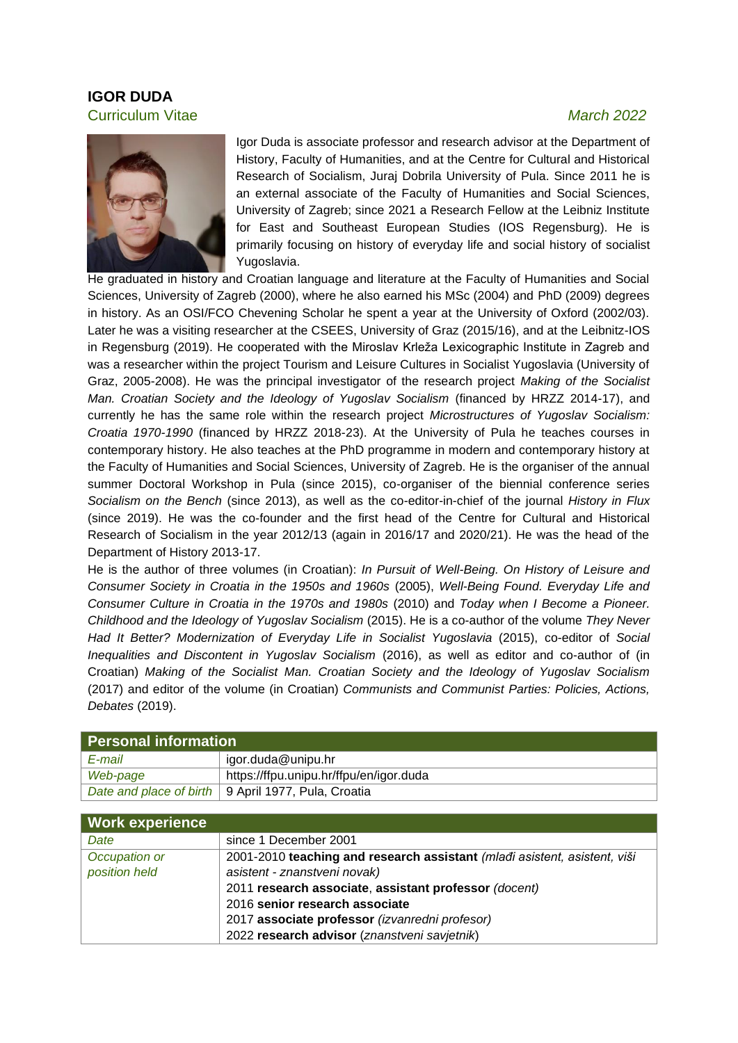## **IGOR DUDA** Curriculum Vitae*March 2022*



Igor Duda is associate professor and research advisor at the Department of History, Faculty of Humanities, and at the Centre for Cultural and Historical Research of Socialism, Juraj Dobrila University of Pula. Since 2011 he is an external associate of the Faculty of Humanities and Social Sciences, University of Zagreb; since 2021 a Research Fellow at the Leibniz Institute for East and Southeast European Studies (IOS Regensburg). He is primarily focusing on history of everyday life and social history of socialist Yugoslavia.

He graduated in history and Croatian language and literature at the Faculty of Humanities and Social Sciences, University of Zagreb (2000), where he also earned his MSc (2004) and PhD (2009) degrees in history. As an OSI/FCO Chevening Scholar he spent a year at the University of Oxford (2002/03). Later he was a visiting researcher at the CSEES, University of Graz (2015/16), and at the Leibnitz-IOS in Regensburg (2019). He cooperated with the Miroslav Krleža Lexicographic Institute in Zagreb and was a researcher within the project Tourism and Leisure Cultures in Socialist Yugoslavia (University of Graz, 2005-2008). He was the principal investigator of the research project *Making of the Socialist Man. Croatian Society and the Ideology of Yugoslav Socialism* (financed by HRZZ 2014-17), and currently he has the same role within the research project *Microstructures of Yugoslav Socialism: Croatia 1970-1990* (financed by HRZZ 2018-23). At the University of Pula he teaches courses in contemporary history. He also teaches at the PhD programme in modern and contemporary history at the Faculty of Humanities and Social Sciences, University of Zagreb. He is the organiser of the annual summer Doctoral Workshop in Pula (since 2015), co-organiser of the biennial conference series *Socialism on the Bench* (since 2013), as well as the co-editor-in-chief of the journal *History in Flux* (since 2019). He was the co-founder and the first head of the Centre for Cultural and Historical Research of Socialism in the year 2012/13 (again in 2016/17 and 2020/21). He was the head of the Department of History 2013-17.

He is the author of three volumes (in Croatian): *In Pursuit of Well-Being. On History of Leisure and Consumer Society in Croatia in the 1950s and 1960s* (2005), *Well-Being Found. Everyday Life and Consumer Culture in Croatia in the 1970s and 1980s* (2010) and *Today when I Become a Pioneer. Childhood and the Ideology of Yugoslav Socialism* (2015). He is a co-author of the volume *They Never Had It Better? Modernization of Everyday Life in Socialist Yugoslavia* (2015), co-editor of *Social Inequalities and Discontent in Yugoslav Socialism* (2016), as well as editor and co-author of (in Croatian) *Making of the Socialist Man. Croatian Society and the Ideology of Yugoslav Socialism* (2017) and editor of the volume (in Croatian) *Communists and Communist Parties: Policies, Actions, Debates* (2019).

| Personal information |                                                       |  |
|----------------------|-------------------------------------------------------|--|
| E-mail               | igor.duda@unipu.hr                                    |  |
| Web-page             | https://ffpu.unipu.hr/ffpu/en/igor.duda               |  |
|                      | Date and place of birth   9 April 1977, Pula, Croatia |  |
|                      |                                                       |  |

| <b>Work experience</b> |                                                                           |
|------------------------|---------------------------------------------------------------------------|
| Date                   | since 1 December 2001                                                     |
| Occupation or          | 2001-2010 teaching and research assistant (mladi asistent, asistent, viši |
| position held          | asistent - znanstveni novak)                                              |
|                        | 2011 research associate, assistant professor (docent)                     |
|                        | 2016 senior research associate                                            |
|                        | 2017 associate professor (izvanredni profesor)                            |
|                        | 2022 research advisor (znanstveni savjetnik)                              |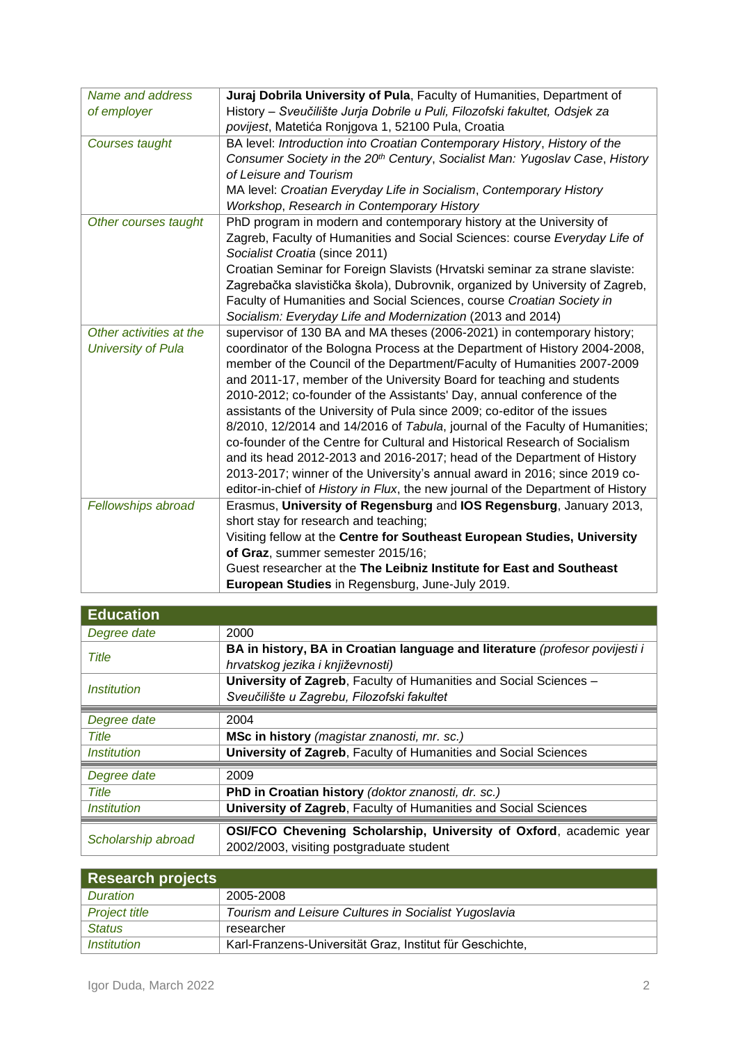| Name and address          | Juraj Dobrila University of Pula, Faculty of Humanities, Department of           |  |  |
|---------------------------|----------------------------------------------------------------------------------|--|--|
| of employer               | History - Sveučilište Jurja Dobrile u Puli, Filozofski fakultet, Odsjek za       |  |  |
|                           | povijest, Matetića Ronjgova 1, 52100 Pula, Croatia                               |  |  |
| Courses taught            | BA level: Introduction into Croatian Contemporary History, History of the        |  |  |
|                           | Consumer Society in the 20th Century, Socialist Man: Yugoslav Case, History      |  |  |
|                           | of Leisure and Tourism                                                           |  |  |
|                           | MA level: Croatian Everyday Life in Socialism, Contemporary History              |  |  |
|                           | Workshop, Research in Contemporary History                                       |  |  |
| Other courses taught      | PhD program in modern and contemporary history at the University of              |  |  |
|                           | Zagreb, Faculty of Humanities and Social Sciences: course Everyday Life of       |  |  |
|                           | Socialist Croatia (since 2011)                                                   |  |  |
|                           | Croatian Seminar for Foreign Slavists (Hrvatski seminar za strane slaviste:      |  |  |
|                           | Zagrebačka slavistička škola), Dubrovnik, organized by University of Zagreb,     |  |  |
|                           | Faculty of Humanities and Social Sciences, course Croatian Society in            |  |  |
|                           | Socialism: Everyday Life and Modernization (2013 and 2014)                       |  |  |
| Other activities at the   | supervisor of 130 BA and MA theses (2006-2021) in contemporary history;          |  |  |
| <b>University of Pula</b> | coordinator of the Bologna Process at the Department of History 2004-2008,       |  |  |
|                           | member of the Council of the Department/Faculty of Humanities 2007-2009          |  |  |
|                           | and 2011-17, member of the University Board for teaching and students            |  |  |
|                           | 2010-2012; co-founder of the Assistants' Day, annual conference of the           |  |  |
|                           | assistants of the University of Pula since 2009; co-editor of the issues         |  |  |
|                           | 8/2010, 12/2014 and 14/2016 of Tabula, journal of the Faculty of Humanities;     |  |  |
|                           | co-founder of the Centre for Cultural and Historical Research of Socialism       |  |  |
|                           | and its head 2012-2013 and 2016-2017; head of the Department of History          |  |  |
|                           | 2013-2017; winner of the University's annual award in 2016; since 2019 co-       |  |  |
|                           | editor-in-chief of History in Flux, the new journal of the Department of History |  |  |
| Fellowships abroad        | Erasmus, University of Regensburg and IOS Regensburg, January 2013,              |  |  |
|                           | short stay for research and teaching;                                            |  |  |
|                           | Visiting fellow at the Centre for Southeast European Studies, University         |  |  |
|                           | of Graz, summer semester 2015/16;                                                |  |  |
|                           | Guest researcher at the The Leibniz Institute for East and Southeast             |  |  |
|                           | European Studies in Regensburg, June-July 2019.                                  |  |  |

| <b>Education</b>                 |                                                                                                                |  |  |
|----------------------------------|----------------------------------------------------------------------------------------------------------------|--|--|
| Degree date                      | 2000                                                                                                           |  |  |
| <b>Title</b>                     | BA in history, BA in Croatian language and literature (profesor povijesti i                                    |  |  |
|                                  | hrvatskog jezika i književnosti)                                                                               |  |  |
| <i><u><b>Institution</b></u></i> | University of Zagreb, Faculty of Humanities and Social Sciences -                                              |  |  |
|                                  | Sveučilište u Zagrebu, Filozofski fakultet                                                                     |  |  |
| Degree date                      | 2004                                                                                                           |  |  |
| <b>Title</b>                     | MSc in history (magistar znanosti, mr. sc.)                                                                    |  |  |
| <i><u><b>Institution</b></u></i> | University of Zagreb, Faculty of Humanities and Social Sciences                                                |  |  |
| Degree date                      | 2009                                                                                                           |  |  |
| <b>Title</b>                     | PhD in Croatian history (doktor znanosti, dr. sc.)                                                             |  |  |
| <i><b>Institution</b></i>        | University of Zagreb, Faculty of Humanities and Social Sciences                                                |  |  |
| Scholarship abroad               | OSI/FCO Chevening Scholarship, University of Oxford, academic year<br>2002/2003, visiting postgraduate student |  |  |

| Research projects         |                                                          |  |
|---------------------------|----------------------------------------------------------|--|
| Duration                  | 2005-2008                                                |  |
| <b>Project title</b>      | Tourism and Leisure Cultures in Socialist Yugoslavia     |  |
| <b>Status</b>             | researcher                                               |  |
| <i><b>Institution</b></i> | Karl-Franzens-Universität Graz, Institut für Geschichte, |  |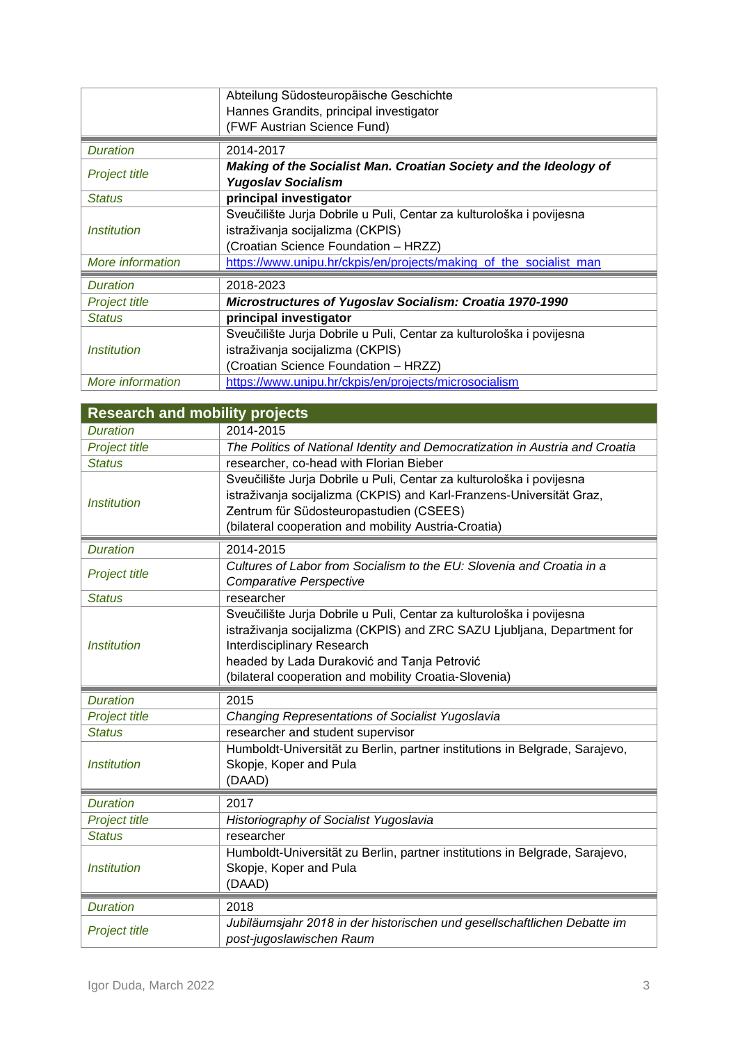|                                  | Abteilung Südosteuropäische Geschichte                                                         |  |  |
|----------------------------------|------------------------------------------------------------------------------------------------|--|--|
|                                  | Hannes Grandits, principal investigator                                                        |  |  |
|                                  | (FWF Austrian Science Fund)                                                                    |  |  |
| <b>Duration</b>                  | 2014-2017                                                                                      |  |  |
| <b>Project title</b>             | Making of the Socialist Man. Croatian Society and the Ideology of<br><b>Yugoslav Socialism</b> |  |  |
| <b>Status</b>                    | principal investigator                                                                         |  |  |
|                                  | Sveučilište Jurja Dobrile u Puli, Centar za kulturološka i povijesna                           |  |  |
| <i><u><b>Institution</b></u></i> | istraživanja socijalizma (CKPIS)                                                               |  |  |
|                                  | (Croatian Science Foundation - HRZZ)                                                           |  |  |
| More information                 | https://www.unipu.hr/ckpis/en/projects/making_of_the_socialist_man                             |  |  |
| <b>Duration</b>                  | 2018-2023                                                                                      |  |  |
| <b>Project title</b>             | Microstructures of Yugoslav Socialism: Croatia 1970-1990                                       |  |  |
| <b>Status</b>                    | principal investigator                                                                         |  |  |
|                                  | Sveučilište Jurja Dobrile u Puli, Centar za kulturološka i povijesna                           |  |  |
| <i><b>Institution</b></i>        | istraživanja socijalizma (CKPIS)                                                               |  |  |
|                                  | (Croatian Science Foundation - HRZZ)                                                           |  |  |
| More information                 | https://www.unipu.hr/ckpis/en/projects/microsocialism                                          |  |  |

| <b>Research and mobility projects</b> |                                                                                                                                                                                                                                                                                       |  |  |
|---------------------------------------|---------------------------------------------------------------------------------------------------------------------------------------------------------------------------------------------------------------------------------------------------------------------------------------|--|--|
| <b>Duration</b>                       | 2014-2015                                                                                                                                                                                                                                                                             |  |  |
| <b>Project title</b>                  | The Politics of National Identity and Democratization in Austria and Croatia                                                                                                                                                                                                          |  |  |
| <b>Status</b>                         | researcher, co-head with Florian Bieber                                                                                                                                                                                                                                               |  |  |
| <b>Institution</b>                    | Sveučilište Jurja Dobrile u Puli, Centar za kulturološka i povijesna<br>istraživanja socijalizma (CKPIS) and Karl-Franzens-Universität Graz,<br>Zentrum für Südosteuropastudien (CSEES)<br>(bilateral cooperation and mobility Austria-Croatia)                                       |  |  |
| <b>Duration</b>                       | 2014-2015                                                                                                                                                                                                                                                                             |  |  |
| <b>Project title</b>                  | Cultures of Labor from Socialism to the EU: Slovenia and Croatia in a<br><b>Comparative Perspective</b>                                                                                                                                                                               |  |  |
| <b>Status</b>                         | researcher                                                                                                                                                                                                                                                                            |  |  |
| <i><b>Institution</b></i>             | Sveučilište Jurja Dobrile u Puli, Centar za kulturološka i povijesna<br>istraživanja socijalizma (CKPIS) and ZRC SAZU Ljubljana, Department for<br>Interdisciplinary Research<br>headed by Lada Duraković and Tanja Petrović<br>(bilateral cooperation and mobility Croatia-Slovenia) |  |  |
| <b>Duration</b>                       | 2015                                                                                                                                                                                                                                                                                  |  |  |
| Project title                         | <b>Changing Representations of Socialist Yugoslavia</b>                                                                                                                                                                                                                               |  |  |
| <b>Status</b>                         | researcher and student supervisor                                                                                                                                                                                                                                                     |  |  |
| <b>Institution</b>                    | Humboldt-Universität zu Berlin, partner institutions in Belgrade, Sarajevo,<br>Skopje, Koper and Pula<br>(DAAD)                                                                                                                                                                       |  |  |
| <b>Duration</b>                       | 2017                                                                                                                                                                                                                                                                                  |  |  |
| Project title                         | Historiography of Socialist Yugoslavia                                                                                                                                                                                                                                                |  |  |
| <b>Status</b>                         | researcher                                                                                                                                                                                                                                                                            |  |  |
| <b>Institution</b>                    | Humboldt-Universität zu Berlin, partner institutions in Belgrade, Sarajevo,<br>Skopje, Koper and Pula<br>(DAAD)                                                                                                                                                                       |  |  |
| <b>Duration</b>                       | 2018                                                                                                                                                                                                                                                                                  |  |  |
| <b>Project title</b>                  | Jubiläumsjahr 2018 in der historischen und gesellschaftlichen Debatte im<br>post-jugoslawischen Raum                                                                                                                                                                                  |  |  |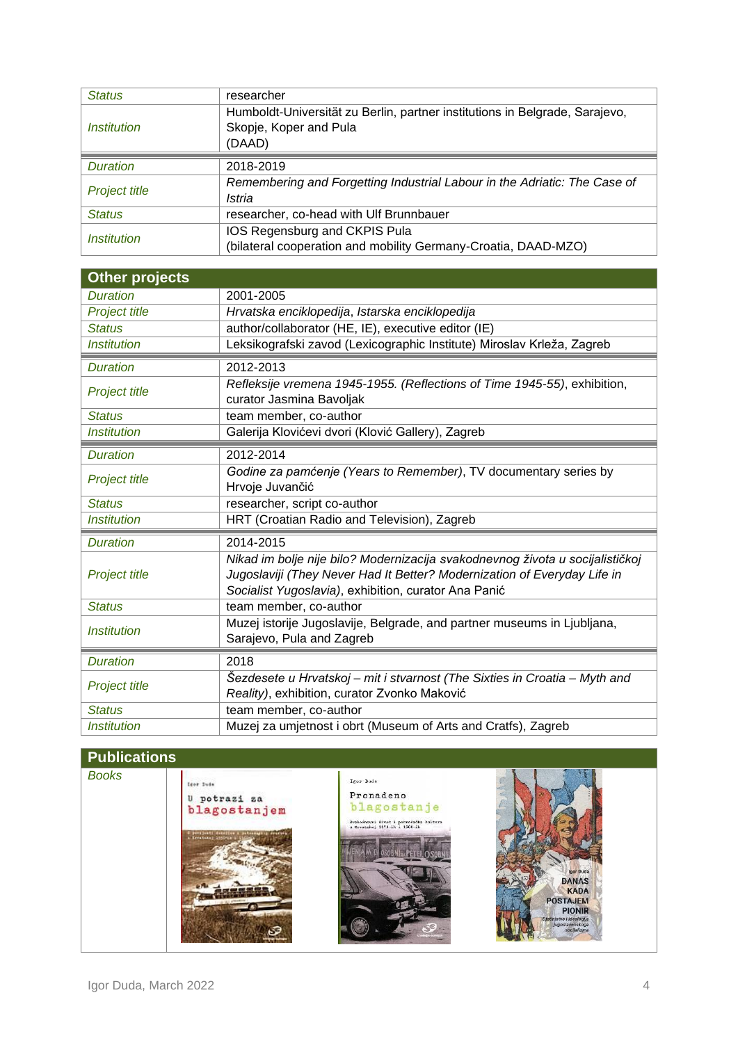| <b>Status</b>             | researcher                                                                  |  |
|---------------------------|-----------------------------------------------------------------------------|--|
|                           | Humboldt-Universität zu Berlin, partner institutions in Belgrade, Sarajevo, |  |
| <i>Institution</i>        | Skopje, Koper and Pula                                                      |  |
|                           | (DAAD)                                                                      |  |
|                           |                                                                             |  |
| <b>Duration</b>           | 2018-2019                                                                   |  |
| <b>Project title</b>      | Remembering and Forgetting Industrial Labour in the Adriatic: The Case of   |  |
|                           | Istria                                                                      |  |
| <b>Status</b>             | researcher, co-head with Ulf Brunnbauer                                     |  |
| <i><b>Institution</b></i> | IOS Regensburg and CKPIS Pula                                               |  |
|                           | (bilateral cooperation and mobility Germany-Croatia, DAAD-MZO)              |  |

| Other projects                                                                                                             |                                                                                                                                                                                                                   |  |  |
|----------------------------------------------------------------------------------------------------------------------------|-------------------------------------------------------------------------------------------------------------------------------------------------------------------------------------------------------------------|--|--|
| <b>Duration</b>                                                                                                            | 2001-2005                                                                                                                                                                                                         |  |  |
| Project title                                                                                                              | Hrvatska enciklopedija, Istarska enciklopedija                                                                                                                                                                    |  |  |
| <b>Status</b>                                                                                                              | author/collaborator (HE, IE), executive editor (IE)                                                                                                                                                               |  |  |
| <b>Institution</b>                                                                                                         | Leksikografski zavod (Lexicographic Institute) Miroslav Krleža, Zagreb                                                                                                                                            |  |  |
| <b>Duration</b>                                                                                                            | 2012-2013                                                                                                                                                                                                         |  |  |
| <b>Project title</b>                                                                                                       | Refleksije vremena 1945-1955. (Reflections of Time 1945-55), exhibition,<br>curator Jasmina Bavoljak                                                                                                              |  |  |
| <b>Status</b>                                                                                                              | team member, co-author                                                                                                                                                                                            |  |  |
| <b>Institution</b>                                                                                                         | Galerija Klovićevi dvori (Klović Gallery), Zagreb                                                                                                                                                                 |  |  |
| <b>Duration</b>                                                                                                            | 2012-2014                                                                                                                                                                                                         |  |  |
| <b>Project title</b>                                                                                                       | Godine za pamćenje (Years to Remember), TV documentary series by<br>Hrvoje Juvančić                                                                                                                               |  |  |
| <b>Status</b>                                                                                                              | researcher, script co-author                                                                                                                                                                                      |  |  |
| <i><b>Institution</b></i>                                                                                                  | HRT (Croatian Radio and Television), Zagreb                                                                                                                                                                       |  |  |
| <b>Duration</b>                                                                                                            | 2014-2015                                                                                                                                                                                                         |  |  |
| <b>Project title</b>                                                                                                       | Nikad im bolje nije bilo? Modernizacija svakodnevnog života u socijalističkoj<br>Jugoslaviji (They Never Had It Better? Modernization of Everyday Life in<br>Socialist Yugoslavia), exhibition, curator Ana Panić |  |  |
| <b>Status</b>                                                                                                              | team member, co-author                                                                                                                                                                                            |  |  |
| Muzej istorije Jugoslavije, Belgrade, and partner museums in Ljubljana,<br><b>Institution</b><br>Sarajevo, Pula and Zagreb |                                                                                                                                                                                                                   |  |  |
| <b>Duration</b>                                                                                                            | 2018                                                                                                                                                                                                              |  |  |
| Project title                                                                                                              | Šezdesete u Hrvatskoj – mit i stvarnost (The Sixties in Croatia – Myth and<br>Reality), exhibition, curator Zvonko Maković                                                                                        |  |  |
| <b>Status</b>                                                                                                              | team member, co-author                                                                                                                                                                                            |  |  |
| <b>Institution</b>                                                                                                         | Muzej za umjetnost i obrt (Museum of Arts and Cratfs), Zagreb                                                                                                                                                     |  |  |

## **Publications**

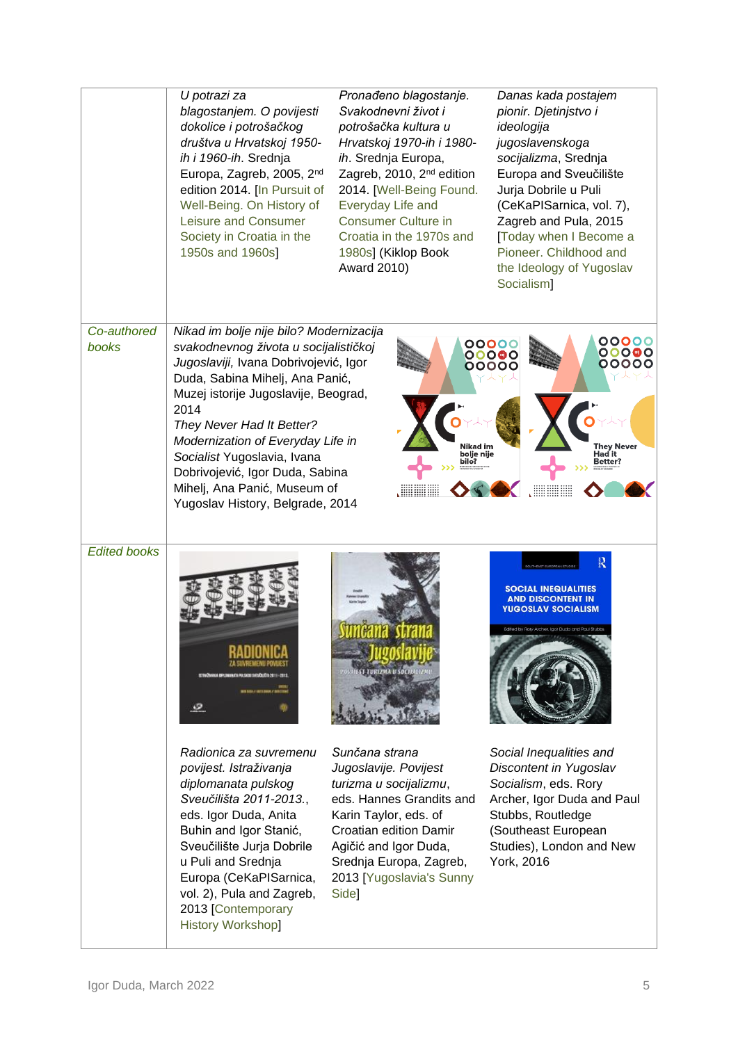|                      | U potrazi za<br>blagostanjem. O povijesti<br>dokolice i potrošačkog<br>društva u Hrvatskoj 1950-<br>ih i 1960-ih. Srednja<br>Europa, Zagreb, 2005, 2 <sup>nd</sup><br>edition 2014. [In Pursuit of<br>Well-Being. On History of<br>Leisure and Consumer<br>Society in Croatia in the<br>1950s and 1960s]                                                                                                             | Pronađeno blagostanje.<br>Svakodnevni život i<br>potrošačka kultura u<br>Hrvatskoj 1970-ih i 1980-<br>ih. Srednja Europa,<br>Zagreb, 2010, 2 <sup>nd</sup> edition<br>2014. [Well-Being Found.<br>Everyday Life and<br><b>Consumer Culture in</b><br>Croatia in the 1970s and<br>1980s] (Kiklop Book<br>Award 2010) | Danas kada postajem<br>pionir. Djetinjstvo i<br>ideologija<br>jugoslavenskoga<br>socijalizma, Srednja<br>Europa and Sveučilište<br>Jurja Dobrile u Puli<br>(CeKaPISarnica, vol. 7),<br>Zagreb and Pula, 2015<br>[Today when I Become a<br>Pioneer, Childhood and<br>the Ideology of Yugoslav<br>Socialism] |
|----------------------|----------------------------------------------------------------------------------------------------------------------------------------------------------------------------------------------------------------------------------------------------------------------------------------------------------------------------------------------------------------------------------------------------------------------|---------------------------------------------------------------------------------------------------------------------------------------------------------------------------------------------------------------------------------------------------------------------------------------------------------------------|------------------------------------------------------------------------------------------------------------------------------------------------------------------------------------------------------------------------------------------------------------------------------------------------------------|
| Co-authored<br>books | Nikad im bolje nije bilo? Modernizacija<br>svakodnevnog života u socijalističkoj<br>Jugoslaviji, Ivana Dobrivojević, Igor<br>Duda, Sabina Mihelj, Ana Panić,<br>Muzej istorije Jugoslavije, Beograd,<br>2014<br>They Never Had It Better?<br>Modernization of Everyday Life in<br>Socialist Yugoslavia, Ivana<br>Dobrivojević, Igor Duda, Sabina<br>Mihelj, Ana Panić, Museum of<br>Yugoslav History, Belgrade, 2014 | Nikad im<br>bolje nije<br>bilo?                                                                                                                                                                                                                                                                                     | 00000<br>00000<br>00000<br>00000<br>00000<br>00000<br><b>They Never</b><br>Had it<br>Better?                                                                                                                                                                                                               |
| <b>Edited books</b>  | $\circ$                                                                                                                                                                                                                                                                                                                                                                                                              | <b>EST-TURIZMA U SOCIA</b>                                                                                                                                                                                                                                                                                          | R<br><b>SOCIAL INEQUALITIES</b><br><b>AND DISCONTENT IN</b><br><b>YUGOSLAV SOCIALISM</b><br>Edited by Rory Archer, Igor Duda and Paul Stubbs                                                                                                                                                               |
|                      | Radionica za suvremenu<br>povijest. Istraživanja<br>diplomanata pulskog<br>Sveučilišta 2011-2013.,<br>eds. Igor Duda, Anita<br>Buhin and Igor Stanić,<br>Sveučilište Jurja Dobrile<br>u Puli and Srednja<br>Europa (CeKaPISarnica,<br>vol. 2), Pula and Zagreb,<br>2013 [Contemporary<br><b>History Workshop]</b>                                                                                                    | Sunčana strana<br>Jugoslavije. Povijest<br>turizma u socijalizmu,<br>eds. Hannes Grandits and<br>Karin Taylor, eds. of<br><b>Croatian edition Damir</b><br>Agičić and Igor Duda,<br>Srednja Europa, Zagreb,<br>2013 [Yugoslavia's Sunny<br>Side]                                                                    | Social Inequalities and<br>Discontent in Yugoslav<br>Socialism, eds. Rory<br>Archer, Igor Duda and Paul<br>Stubbs, Routledge<br>(Southeast European<br>Studies), London and New<br>York, 2016                                                                                                              |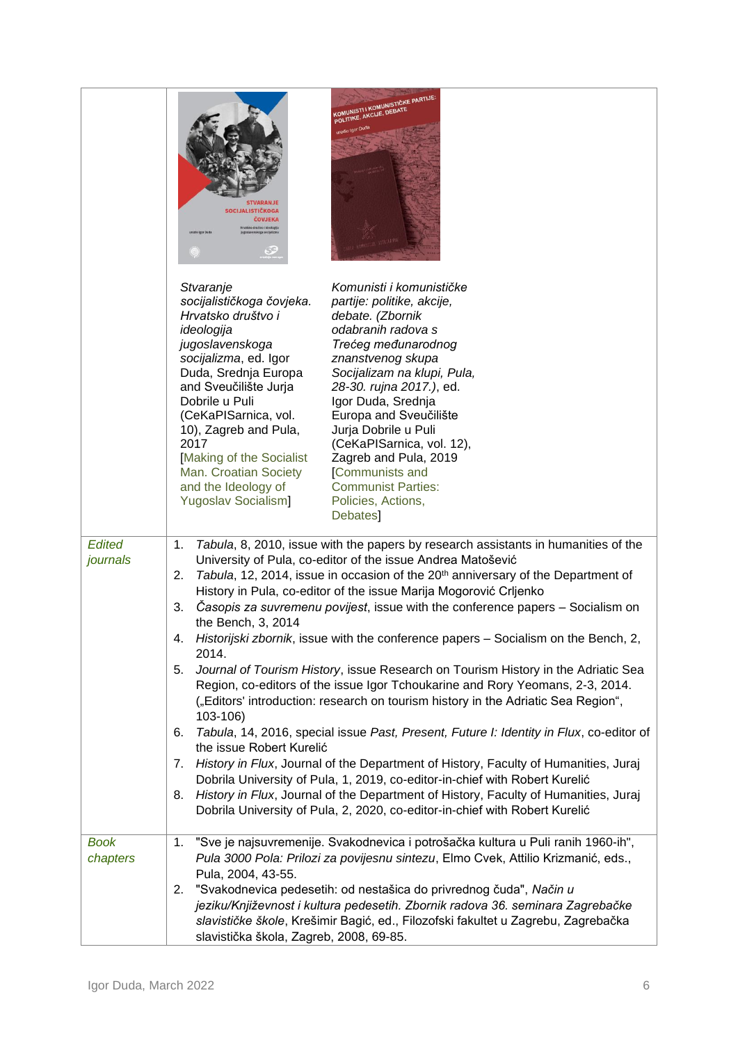|                         | KOMUNISTI I KOMUNISTIČKE PARTIJE:<br>POLITIKE, AKCIJE, DEBATE<br>Igor Duda<br><b>SOCIJALISTIČKOGA</b><br><b>ČOVJEKA</b>                                                                                                                                                                                                                                                                                                                                                                                                                                                                                                                                                                                                                                                                                                                                                                                                                                                                                                                                                                                                                                                                                                                                                                                           |
|-------------------------|-------------------------------------------------------------------------------------------------------------------------------------------------------------------------------------------------------------------------------------------------------------------------------------------------------------------------------------------------------------------------------------------------------------------------------------------------------------------------------------------------------------------------------------------------------------------------------------------------------------------------------------------------------------------------------------------------------------------------------------------------------------------------------------------------------------------------------------------------------------------------------------------------------------------------------------------------------------------------------------------------------------------------------------------------------------------------------------------------------------------------------------------------------------------------------------------------------------------------------------------------------------------------------------------------------------------|
|                         | Komunisti i komunističke<br>Stvaranje<br>socijalističkoga čovjeka.<br>partije: politike, akcije,<br>Hrvatsko društvo i<br>debate. (Zbornik<br>odabranih radova s<br>ideologija<br>jugoslavenskoga<br>Trećeg međunarodnog<br>socijalizma, ed. Igor<br>znanstvenog skupa<br>Duda, Srednja Europa<br>Socijalizam na klupi, Pula,<br>28-30. rujna 2017.), ed.<br>and Sveučilište Jurja<br>Dobrile u Puli<br>Igor Duda, Srednja<br>(CeKaPISarnica, vol.<br>Europa and Sveučilište<br>10), Zagreb and Pula,<br>Jurja Dobrile u Puli<br>2017<br>(CeKaPISarnica, vol. 12),<br>[Making of the Socialist<br>Zagreb and Pula, 2019<br>Man. Croatian Society<br><b>Communists and</b><br>and the Ideology of<br><b>Communist Parties:</b><br><b>Yugoslav Socialism]</b><br>Policies, Actions,<br>Debates <sup>1</sup>                                                                                                                                                                                                                                                                                                                                                                                                                                                                                                         |
| journals                | Tabula, 8, 2010, issue with the papers by research assistants in humanities of the<br>University of Pula, co-editor of the issue Andrea Matošević<br>2.<br>Tabula, 12, 2014, issue in occasion of the 20 <sup>th</sup> anniversary of the Department of<br>History in Pula, co-editor of the issue Marija Mogorović Crljenko<br>Casopis za suvremenu povijest, issue with the conference papers - Socialism on<br>3.<br>the Bench, 3, 2014<br>Historijski zbornik, issue with the conference papers - Socialism on the Bench, 2,<br>4.<br>2014.<br>Journal of Tourism History, issue Research on Tourism History in the Adriatic Sea<br>5.<br>Region, co-editors of the issue Igor Tchoukarine and Rory Yeomans, 2-3, 2014.<br>("Editors' introduction: research on tourism history in the Adriatic Sea Region",<br>103-106)<br>Tabula, 14, 2016, special issue Past, Present, Future I: Identity in Flux, co-editor of<br>6.<br>the issue Robert Kurelić<br>History in Flux, Journal of the Department of History, Faculty of Humanities, Juraj<br>7.<br>Dobrila University of Pula, 1, 2019, co-editor-in-chief with Robert Kurelić<br>History in Flux, Journal of the Department of History, Faculty of Humanities, Juraj<br>8.<br>Dobrila University of Pula, 2, 2020, co-editor-in-chief with Robert Kurelić |
| <b>Book</b><br>chapters | "Sve je najsuvremenije. Svakodnevica i potrošačka kultura u Puli ranih 1960-ih",<br>1.<br>Pula 3000 Pola: Prilozi za povijesnu sintezu, Elmo Cvek, Attilio Krizmanić, eds.,<br>Pula, 2004, 43-55.<br>"Svakodnevica pedesetih: od nestašica do privrednog čuda", Način u<br>2.<br>jeziku/Književnost i kultura pedesetih. Zbornik radova 36. seminara Zagrebačke<br>slavističke škole, Krešimir Bagić, ed., Filozofski fakultet u Zagrebu, Zagrebačka<br>slavistička škola, Zagreb, 2008, 69-85.                                                                                                                                                                                                                                                                                                                                                                                                                                                                                                                                                                                                                                                                                                                                                                                                                   |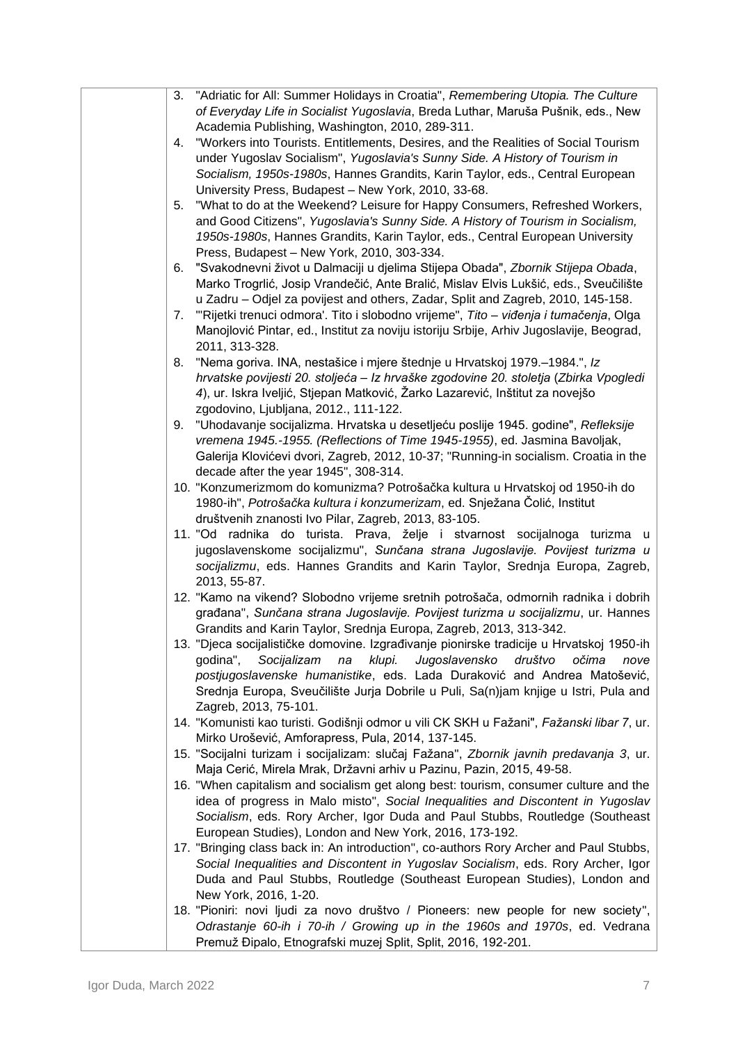| 3. | "Adriatic for All: Summer Holidays in Croatia", Remembering Utopia. The Culture           |
|----|-------------------------------------------------------------------------------------------|
|    | of Everyday Life in Socialist Yugoslavia, Breda Luthar, Maruša Pušnik, eds., New          |
|    | Academia Publishing, Washington, 2010, 289-311.                                           |
| 4. | "Workers into Tourists. Entitlements, Desires, and the Realities of Social Tourism        |
|    | under Yugoslav Socialism", Yugoslavia's Sunny Side. A History of Tourism in               |
|    | Socialism, 1950s-1980s, Hannes Grandits, Karin Taylor, eds., Central European             |
|    | University Press, Budapest - New York, 2010, 33-68.                                       |
| 5. | "What to do at the Weekend? Leisure for Happy Consumers, Refreshed Workers,               |
|    | and Good Citizens", Yugoslavia's Sunny Side. A History of Tourism in Socialism,           |
|    |                                                                                           |
|    | 1950s-1980s, Hannes Grandits, Karin Taylor, eds., Central European University             |
|    | Press, Budapest - New York, 2010, 303-334.                                                |
| 6. | "Svakodnevni život u Dalmaciji u djelima Stijepa Obada", Zbornik Stijepa Obada,           |
|    | Marko Trogrlić, Josip Vrandečić, Ante Bralić, Mislav Elvis Lukšić, eds., Sveučilište      |
|    | u Zadru - Odjel za povijest and others, Zadar, Split and Zagreb, 2010, 145-158.           |
| 7. | "Rijetki trenuci odmora'. Tito i slobodno vrijeme", Tito - viđenja i tumačenja, Olga      |
|    | Manojlović Pintar, ed., Institut za noviju istoriju Srbije, Arhiv Jugoslavije, Beograd,   |
|    | 2011, 313-328.                                                                            |
| 8. | "Nema goriva. INA, nestašice i mjere štednje u Hrvatskoj 1979.–1984.", Iz                 |
|    | hrvatske povijesti 20. stoljeća – Iz hrvaške zgodovine 20. stoletja (Zbirka Vpogledi      |
|    | 4), ur. Iskra Iveljić, Stjepan Matković, Žarko Lazarević, Inštitut za novejšo             |
|    | zgodovino, Ljubljana, 2012., 111-122.                                                     |
| 9. | "Uhodavanje socijalizma. Hrvatska u desetljeću poslije 1945. godine", Refleksije          |
|    | vremena 1945.-1955. (Reflections of Time 1945-1955), ed. Jasmina Bavoljak,                |
|    | Galerija Klovićevi dvori, Zagreb, 2012, 10-37; "Running-in socialism. Croatia in the      |
|    | decade after the year 1945", 308-314.                                                     |
|    | 10. "Konzumerizmom do komunizma? Potrošačka kultura u Hrvatskoj od 1950-ih do             |
|    |                                                                                           |
|    | 1980-ih", Potrošačka kultura i konzumerizam, ed. Snježana Čolić, Institut                 |
|    | društvenih znanosti Ivo Pilar, Zagreb, 2013, 83-105.                                      |
|    | 11. "Od radnika do turista. Prava, želje i stvarnost socijalnoga turizma u                |
|    | jugoslavenskome socijalizmu", Sunčana strana Jugoslavije. Povijest turizma u              |
|    | socijalizmu, eds. Hannes Grandits and Karin Taylor, Srednja Europa, Zagreb,               |
|    | 2013, 55-87.                                                                              |
|    | 12. "Kamo na vikend? Slobodno vrijeme sretnih potrošača, odmornih radnika i dobrih        |
|    | građana", Sunčana strana Jugoslavije. Povijest turizma u socijalizmu, ur. Hannes          |
|    | Grandits and Karin Taylor, Srednja Europa, Zagreb, 2013, 313-342.                         |
|    | 13. "Djeca socijalističke domovine. Izgrađivanje pionirske tradicije u Hrvatskoj 1950-ih  |
|    | godina",<br>Socijalizam<br>klupi.<br>Jugoslavensko<br>društvo<br>očima<br>na<br>nove      |
|    | postjugoslavenske humanistike, eds. Lada Duraković and Andrea Matošević,                  |
|    | Srednja Europa, Sveučilište Jurja Dobrile u Puli, Sa(n)jam knjige u Istri, Pula and       |
|    | Zagreb, 2013, 75-101.                                                                     |
|    | 14. "Komunisti kao turisti. Godišnji odmor u vili CK SKH u Fažani", Fažanski libar 7, ur. |
|    | Mirko Urošević, Amforapress, Pula, 2014, 137-145.                                         |
|    | 15. "Socijalni turizam i socijalizam: slučaj Fažana", Zbornik javnih predavanja 3, ur.    |
|    | Maja Cerić, Mirela Mrak, Državni arhiv u Pazinu, Pazin, 2015, 49-58.                      |
|    | 16. "When capitalism and socialism get along best: tourism, consumer culture and the      |
|    | idea of progress in Malo misto", Social Inequalities and Discontent in Yugoslav           |
|    | Socialism, eds. Rory Archer, Igor Duda and Paul Stubbs, Routledge (Southeast              |
|    |                                                                                           |
|    | European Studies), London and New York, 2016, 173-192.                                    |
|    | 17. "Bringing class back in: An introduction", co-authors Rory Archer and Paul Stubbs,    |
|    | Social Inequalities and Discontent in Yugoslav Socialism, eds. Rory Archer, Igor          |
|    | Duda and Paul Stubbs, Routledge (Southeast European Studies), London and                  |
|    | New York, 2016, 1-20.                                                                     |
|    | 18. "Pioniri: novi ljudi za novo društvo / Pioneers: new people for new society",         |
|    | Odrastanje 60-ih i 70-ih / Growing up in the 1960s and 1970s, ed. Vedrana                 |
|    | Premuž Đipalo, Etnografski muzej Split, Split, 2016, 192-201.                             |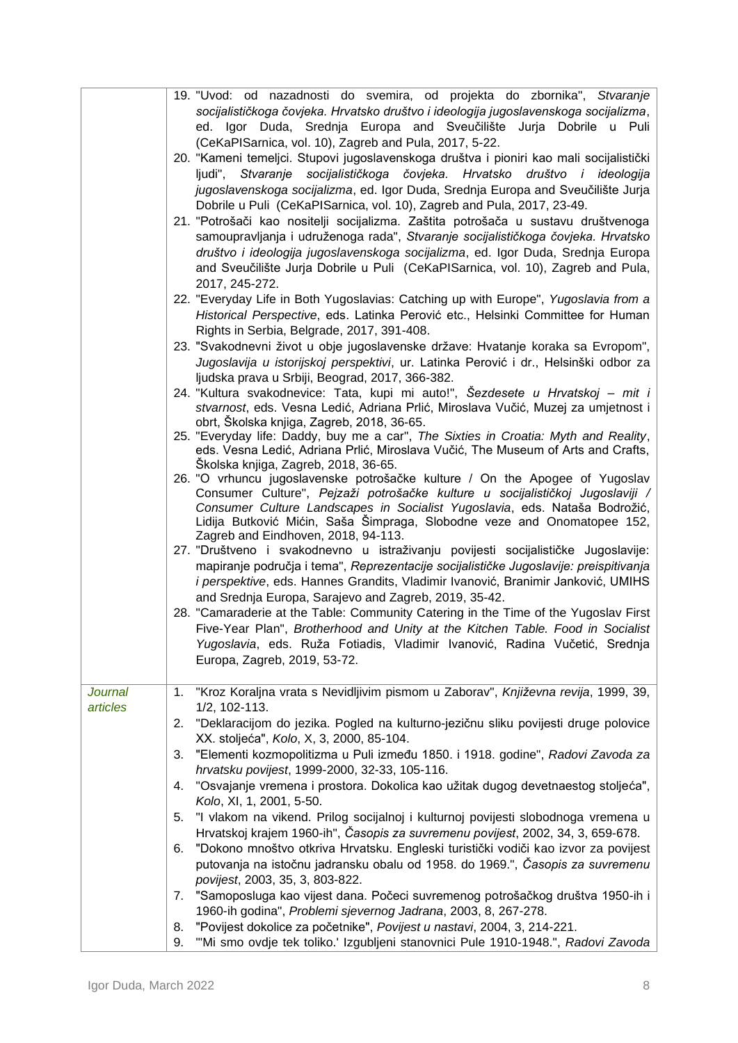|                | 19. "Uvod: od nazadnosti do svemira, od projekta do zbornika", Stvaranje<br>socijalističkoga čovjeka. Hrvatsko društvo i ideologija jugoslavenskoga socijalizma,<br>ed. Igor Duda, Srednja Europa and Sveučilište Jurja Dobrile u Puli<br>(CeKaPISarnica, vol. 10), Zagreb and Pula, 2017, 5-22.<br>20. "Kameni temeljci. Stupovi jugoslavenskoga društva i pioniri kao mali socijalistički<br>ljudi", Stvaranje socijalističkoga čovjeka. Hrvatsko društvo i ideologija<br>jugoslavenskoga socijalizma, ed. Igor Duda, Srednja Europa and Sveučilište Jurja<br>Dobrile u Puli (CeKaPISarnica, vol. 10), Zagreb and Pula, 2017, 23-49.<br>21. "Potrošači kao nositelji socijalizma. Zaštita potrošača u sustavu društvenoga<br>samoupravljanja i udruženoga rada", Stvaranje socijalističkoga čovjeka. Hrvatsko<br>društvo i ideologija jugoslavenskoga socijalizma, ed. Igor Duda, Srednja Europa<br>and Sveučilište Jurja Dobrile u Puli (CeKaPISarnica, vol. 10), Zagreb and Pula,<br>2017, 245-272. |
|----------------|---------------------------------------------------------------------------------------------------------------------------------------------------------------------------------------------------------------------------------------------------------------------------------------------------------------------------------------------------------------------------------------------------------------------------------------------------------------------------------------------------------------------------------------------------------------------------------------------------------------------------------------------------------------------------------------------------------------------------------------------------------------------------------------------------------------------------------------------------------------------------------------------------------------------------------------------------------------------------------------------------------|
|                | 22. "Everyday Life in Both Yugoslavias: Catching up with Europe", Yugoslavia from a<br>Historical Perspective, eds. Latinka Perović etc., Helsinki Committee for Human<br>Rights in Serbia, Belgrade, 2017, 391-408.                                                                                                                                                                                                                                                                                                                                                                                                                                                                                                                                                                                                                                                                                                                                                                                    |
|                | 23. "Svakodnevni život u obje jugoslavenske države: Hvatanje koraka sa Evropom",<br>Jugoslavija u istorijskoj perspektivi, ur. Latinka Perović i dr., Helsinški odbor za                                                                                                                                                                                                                                                                                                                                                                                                                                                                                                                                                                                                                                                                                                                                                                                                                                |
|                | ljudska prava u Srbiji, Beograd, 2017, 366-382.<br>24. "Kultura svakodnevice: Tata, kupi mi auto!", Šezdesete u Hrvatskoj - mit i<br>stvarnost, eds. Vesna Ledić, Adriana Prlić, Miroslava Vučić, Muzej za umjetnost i                                                                                                                                                                                                                                                                                                                                                                                                                                                                                                                                                                                                                                                                                                                                                                                  |
|                | obrt, Školska knjiga, Zagreb, 2018, 36-65.<br>25. "Everyday life: Daddy, buy me a car", The Sixties in Croatia: Myth and Reality,<br>eds. Vesna Ledić, Adriana Prlić, Miroslava Vučić, The Museum of Arts and Crafts,<br>Školska knjiga, Zagreb, 2018, 36-65.                                                                                                                                                                                                                                                                                                                                                                                                                                                                                                                                                                                                                                                                                                                                           |
|                | 26. "O vrhuncu jugoslavenske potrošačke kulture / On the Apogee of Yugoslav<br>Consumer Culture", Pejzaži potrošačke kulture u socijalističkoj Jugoslaviji /<br>Consumer Culture Landscapes in Socialist Yugoslavia, eds. Nataša Bodrožić,<br>Lidija Butković Mićin, Saša Šimpraga, Slobodne veze and Onomatopee 152,<br>Zagreb and Eindhoven, 2018, 94-113.                                                                                                                                                                                                                                                                                                                                                                                                                                                                                                                                                                                                                                            |
|                | 27. "Društveno i svakodnevno u istraživanju povijesti socijalističke Jugoslavije:<br>mapiranje područja i tema", Reprezentacije socijalističke Jugoslavije: preispitivanja<br><i>i perspektive</i> , eds. Hannes Grandits, Vladimir Ivanović, Branimir Janković, UMIHS<br>and Srednja Europa, Sarajevo and Zagreb, 2019, 35-42.                                                                                                                                                                                                                                                                                                                                                                                                                                                                                                                                                                                                                                                                         |
|                | 28. "Camaraderie at the Table: Community Catering in the Time of the Yugoslav First<br>Five-Year Plan", Brotherhood and Unity at the Kitchen Table. Food in Socialist<br>Yugoslavia, eds. Ruža Fotiadis, Vladimir Ivanović, Radina Vučetić, Srednja<br>Europa, Zagreb, 2019, 53-72.                                                                                                                                                                                                                                                                                                                                                                                                                                                                                                                                                                                                                                                                                                                     |
| <b>Journal</b> | "Kroz Koraljna vrata s Nevidljivim pismom u Zaborav", Književna revija, 1999, 39,<br>1.                                                                                                                                                                                                                                                                                                                                                                                                                                                                                                                                                                                                                                                                                                                                                                                                                                                                                                                 |
| articles       | 1/2, 102-113.<br>"Deklaracijom do jezika. Pogled na kulturno-jezičnu sliku povijesti druge polovice<br>2.<br>XX. stoljeća", Kolo, X, 3, 2000, 85-104.                                                                                                                                                                                                                                                                                                                                                                                                                                                                                                                                                                                                                                                                                                                                                                                                                                                   |
|                | "Elementi kozmopolitizma u Puli između 1850. i 1918. godine", Radovi Zavoda za<br>3.                                                                                                                                                                                                                                                                                                                                                                                                                                                                                                                                                                                                                                                                                                                                                                                                                                                                                                                    |
|                | hrvatsku povijest, 1999-2000, 32-33, 105-116.<br>"Osvajanje vremena i prostora. Dokolica kao užitak dugog devetnaestog stoljeća",<br>4.                                                                                                                                                                                                                                                                                                                                                                                                                                                                                                                                                                                                                                                                                                                                                                                                                                                                 |
|                | Kolo, XI, 1, 2001, 5-50.<br>5.<br>"I vlakom na vikend. Prilog socijalnoj i kulturnoj povijesti slobodnoga vremena u                                                                                                                                                                                                                                                                                                                                                                                                                                                                                                                                                                                                                                                                                                                                                                                                                                                                                     |
|                | Hrvatskoj krajem 1960-ih", Časopis za suvremenu povijest, 2002, 34, 3, 659-678.<br>"Dokono mnoštvo otkriva Hrvatsku. Engleski turistički vodiči kao izvor za povijest<br>6.                                                                                                                                                                                                                                                                                                                                                                                                                                                                                                                                                                                                                                                                                                                                                                                                                             |
|                | putovanja na istočnu jadransku obalu od 1958. do 1969.", Časopis za suvremenu<br>povijest, 2003, 35, 3, 803-822.                                                                                                                                                                                                                                                                                                                                                                                                                                                                                                                                                                                                                                                                                                                                                                                                                                                                                        |
|                | "Samoposluga kao vijest dana. Počeci suvremenog potrošačkog društva 1950-ih i<br>7.<br>1960-ih godina", Problemi sjevernog Jadrana, 2003, 8, 267-278.                                                                                                                                                                                                                                                                                                                                                                                                                                                                                                                                                                                                                                                                                                                                                                                                                                                   |
|                | "Povijest dokolice za početnike", Povijest u nastavi, 2004, 3, 214-221.<br>8.<br>"Mi smo ovdje tek toliko.' Izgubljeni stanovnici Pule 1910-1948.", Radovi Zavoda<br>9.                                                                                                                                                                                                                                                                                                                                                                                                                                                                                                                                                                                                                                                                                                                                                                                                                                 |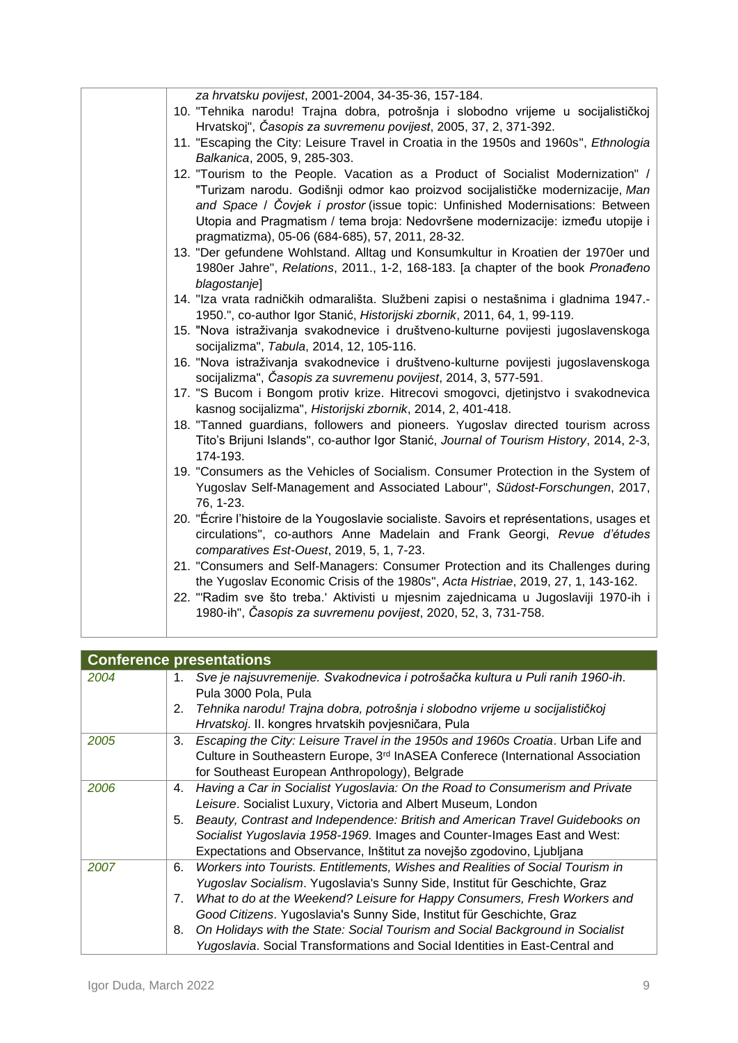| za hrvatsku povijest, 2001-2004, 34-35-36, 157-184.                                                                                                                                                                                                                                                  |
|------------------------------------------------------------------------------------------------------------------------------------------------------------------------------------------------------------------------------------------------------------------------------------------------------|
| 10. "Tehnika narodu! Trajna dobra, potrošnja i slobodno vrijeme u socijalističkoj<br>Hrvatskoj", Časopis za suvremenu povijest, 2005, 37, 2, 371-392.                                                                                                                                                |
| 11. "Escaping the City: Leisure Travel in Croatia in the 1950s and 1960s", Ethnologia                                                                                                                                                                                                                |
| Balkanica, 2005, 9, 285-303.                                                                                                                                                                                                                                                                         |
| 12. "Tourism to the People. Vacation as a Product of Socialist Modernization" /                                                                                                                                                                                                                      |
| "Turizam narodu. Godišnji odmor kao proizvod socijalističke modernizacije, Man<br>and Space / Čovjek i prostor (issue topic: Unfinished Modernisations: Between<br>Utopia and Pragmatism / tema broja: Nedovršene modernizacije: između utopije i<br>pragmatizma), 05-06 (684-685), 57, 2011, 28-32. |
| 13. "Der gefundene Wohlstand. Alltag und Konsumkultur in Kroatien der 1970er und                                                                                                                                                                                                                     |
| 1980er Jahre", Relations, 2011., 1-2, 168-183. [a chapter of the book Pronađeno<br>blagostanje]                                                                                                                                                                                                      |
| 14. "Iza vrata radničkih odmarališta. Službeni zapisi o nestašnima i gladnima 1947.-                                                                                                                                                                                                                 |
| 1950.", co-author Igor Stanić, Historijski zbornik, 2011, 64, 1, 99-119.                                                                                                                                                                                                                             |
| 15. "Nova istraživanja svakodnevice i društveno-kulturne povijesti jugoslavenskoga<br>socijalizma", Tabula, 2014, 12, 105-116.                                                                                                                                                                       |
| 16. "Nova istraživanja svakodnevice i društveno-kulturne povijesti jugoslavenskoga<br>socijalizma", Časopis za suvremenu povijest, 2014, 3, 577-591.                                                                                                                                                 |
| 17. "S Bucom i Bongom protiv krize. Hitrecovi smogovci, djetinjstvo i svakodnevica<br>kasnog socijalizma", Historijski zbornik, 2014, 2, 401-418.                                                                                                                                                    |
| 18. "Tanned guardians, followers and pioneers. Yugoslav directed tourism across<br>Tito's Brijuni Islands", co-author Igor Stanić, Journal of Tourism History, 2014, 2-3,<br>174-193.                                                                                                                |
| 19. "Consumers as the Vehicles of Socialism. Consumer Protection in the System of<br>Yugoslav Self-Management and Associated Labour", Südost-Forschungen, 2017,<br>76, 1-23.                                                                                                                         |
| 20. "Écrire l'histoire de la Yougoslavie socialiste. Savoirs et représentations, usages et<br>circulations", co-authors Anne Madelain and Frank Georgi, Revue d'études<br>comparatives Est-Ouest, 2019, 5, 1, 7-23.                                                                                  |
| 21. "Consumers and Self-Managers: Consumer Protection and its Challenges during<br>the Yugoslav Economic Crisis of the 1980s", Acta Histriae, 2019, 27, 1, 143-162.                                                                                                                                  |
| 22. "Radim sve što treba.' Aktivisti u mjesnim zajednicama u Jugoslaviji 1970-ih i<br>1980-ih", Časopis za suvremenu povijest, 2020, 52, 3, 731-758.                                                                                                                                                 |
|                                                                                                                                                                                                                                                                                                      |

| <b>Conference presentations</b> |                                                                                                                                                                                                                                                                                                                                                                                                                                                                                                       |
|---------------------------------|-------------------------------------------------------------------------------------------------------------------------------------------------------------------------------------------------------------------------------------------------------------------------------------------------------------------------------------------------------------------------------------------------------------------------------------------------------------------------------------------------------|
| 2004                            | Sve je najsuvremenije. Svakodnevica i potrošačka kultura u Puli ranih 1960-ih.<br>1.<br>Pula 3000 Pola, Pula                                                                                                                                                                                                                                                                                                                                                                                          |
|                                 | Tehnika narodu! Trajna dobra, potrošnja i slobodno vrijeme u socijalističkoj<br>2.<br>Hrvatskoj. II. kongres hrvatskih povjesničara, Pula                                                                                                                                                                                                                                                                                                                                                             |
| 2005                            | Escaping the City: Leisure Travel in the 1950s and 1960s Croatia. Urban Life and<br>3.<br>Culture in Southeastern Europe, 3 <sup>rd</sup> InASEA Conferece (International Association<br>for Southeast European Anthropology), Belgrade                                                                                                                                                                                                                                                               |
| 2006                            | Having a Car in Socialist Yugoslavia: On the Road to Consumerism and Private<br>4.<br>Leisure. Socialist Luxury, Victoria and Albert Museum, London<br>Beauty, Contrast and Independence: British and American Travel Guidebooks on<br>5.<br>Socialist Yugoslavia 1958-1969. Images and Counter-Images East and West:<br>Expectations and Observance, Inštitut za novejšo zgodovino, Ljubljana                                                                                                        |
| 2007                            | Workers into Tourists. Entitlements, Wishes and Realities of Social Tourism in<br>6.<br>Yugoslav Socialism. Yugoslavia's Sunny Side, Institut für Geschichte, Graz<br>What to do at the Weekend? Leisure for Happy Consumers, Fresh Workers and<br>7.<br>Good Citizens. Yugoslavia's Sunny Side, Institut für Geschichte, Graz<br>On Holidays with the State: Social Tourism and Social Background in Socialist<br>8.<br>Yugoslavia. Social Transformations and Social Identities in East-Central and |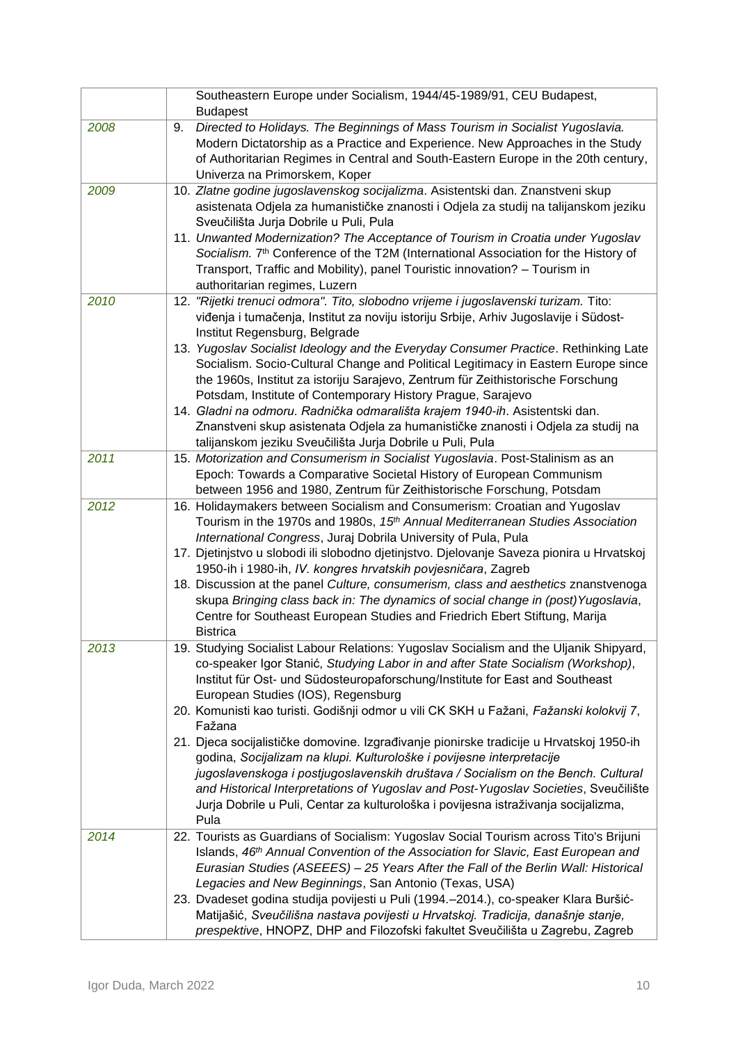|      | Southeastern Europe under Socialism, 1944/45-1989/91, CEU Budapest,<br><b>Budapest</b>                                                                                                                                                                                                                                                                                                                                                                                                                                                                                                                                                                                                                                                                                                                                                          |
|------|-------------------------------------------------------------------------------------------------------------------------------------------------------------------------------------------------------------------------------------------------------------------------------------------------------------------------------------------------------------------------------------------------------------------------------------------------------------------------------------------------------------------------------------------------------------------------------------------------------------------------------------------------------------------------------------------------------------------------------------------------------------------------------------------------------------------------------------------------|
| 2008 | Directed to Holidays. The Beginnings of Mass Tourism in Socialist Yugoslavia.<br>9.<br>Modern Dictatorship as a Practice and Experience. New Approaches in the Study<br>of Authoritarian Regimes in Central and South-Eastern Europe in the 20th century,<br>Univerza na Primorskem, Koper                                                                                                                                                                                                                                                                                                                                                                                                                                                                                                                                                      |
| 2009 | 10. Zlatne godine jugoslavenskog socijalizma. Asistentski dan. Znanstveni skup<br>asistenata Odjela za humanističke znanosti i Odjela za studij na talijanskom jeziku                                                                                                                                                                                                                                                                                                                                                                                                                                                                                                                                                                                                                                                                           |
|      | Sveučilišta Jurja Dobrile u Puli, Pula<br>11. Unwanted Modernization? The Acceptance of Tourism in Croatia under Yugoslav<br>Socialism. 7 <sup>th</sup> Conference of the T2M (International Association for the History of<br>Transport, Traffic and Mobility), panel Touristic innovation? - Tourism in<br>authoritarian regimes, Luzern                                                                                                                                                                                                                                                                                                                                                                                                                                                                                                      |
| 2010 | 12. "Rijetki trenuci odmora". Tito, slobodno vrijeme i jugoslavenski turizam. Tito:<br>viđenja i tumačenja, Institut za noviju istoriju Srbije, Arhiv Jugoslavije i Südost-<br>Institut Regensburg, Belgrade                                                                                                                                                                                                                                                                                                                                                                                                                                                                                                                                                                                                                                    |
|      | 13. Yugoslav Socialist Ideology and the Everyday Consumer Practice. Rethinking Late<br>Socialism. Socio-Cultural Change and Political Legitimacy in Eastern Europe since<br>the 1960s, Institut za istoriju Sarajevo, Zentrum für Zeithistorische Forschung<br>Potsdam, Institute of Contemporary History Prague, Sarajevo<br>14. Gladni na odmoru. Radnička odmarališta krajem 1940-ih. Asistentski dan.<br>Znanstveni skup asistenata Odjela za humanističke znanosti i Odjela za studij na<br>talijanskom jeziku Sveučilišta Jurja Dobrile u Puli, Pula                                                                                                                                                                                                                                                                                      |
| 2011 | 15. Motorization and Consumerism in Socialist Yugoslavia. Post-Stalinism as an<br>Epoch: Towards a Comparative Societal History of European Communism<br>between 1956 and 1980, Zentrum für Zeithistorische Forschung, Potsdam                                                                                                                                                                                                                                                                                                                                                                                                                                                                                                                                                                                                                  |
| 2012 | 16. Holidaymakers between Socialism and Consumerism: Croatian and Yugoslav<br>Tourism in the 1970s and 1980s, 15 <sup>th</sup> Annual Mediterranean Studies Association<br>International Congress, Juraj Dobrila University of Pula, Pula<br>17. Djetinjstvo u slobodi ili slobodno djetinjstvo. Djelovanje Saveza pionira u Hrvatskoj<br>1950-ih i 1980-ih, IV. kongres hrvatskih povjesničara, Zagreb<br>18. Discussion at the panel Culture, consumerism, class and aesthetics znanstvenoga<br>skupa Bringing class back in: The dynamics of social change in (post) Yugoslavia,<br>Centre for Southeast European Studies and Friedrich Ebert Stiftung, Marija<br><b>Bistrica</b>                                                                                                                                                            |
| 2013 | 19. Studying Socialist Labour Relations: Yugoslav Socialism and the Uljanik Shipyard,<br>co-speaker Igor Stanić, Studying Labor in and after State Socialism (Workshop),<br>Institut für Ost- und Südosteuropaforschung/Institute for East and Southeast<br>European Studies (IOS), Regensburg<br>20. Komunisti kao turisti. Godišnji odmor u vili CK SKH u Fažani, Fažanski kolokvij 7,<br>Fažana<br>21. Djeca socijalističke domovine. Izgrađivanje pionirske tradicije u Hrvatskoj 1950-ih<br>godina, Socijalizam na klupi. Kulturološke i povijesne interpretacije<br>jugoslavenskoga i postjugoslavenskih društava / Socialism on the Bench. Cultural<br>and Historical Interpretations of Yugoslav and Post-Yugoslav Societies, Sveučilište<br>Jurja Dobrile u Puli, Centar za kulturološka i povijesna istraživanja socijalizma,<br>Pula |
| 2014 | 22. Tourists as Guardians of Socialism: Yugoslav Social Tourism across Tito's Brijuni<br>Islands, 46 <sup>th</sup> Annual Convention of the Association for Slavic, East European and<br>Eurasian Studies (ASEEES) - 25 Years After the Fall of the Berlin Wall: Historical<br>Legacies and New Beginnings, San Antonio (Texas, USA)<br>23. Dvadeset godina studija povijesti u Puli (1994.–2014.), co-speaker Klara Buršić-                                                                                                                                                                                                                                                                                                                                                                                                                    |
|      | Matijašić, Sveučilišna nastava povijesti u Hrvatskoj. Tradicija, današnje stanje,<br>prespektive, HNOPZ, DHP and Filozofski fakultet Sveučilišta u Zagrebu, Zagreb                                                                                                                                                                                                                                                                                                                                                                                                                                                                                                                                                                                                                                                                              |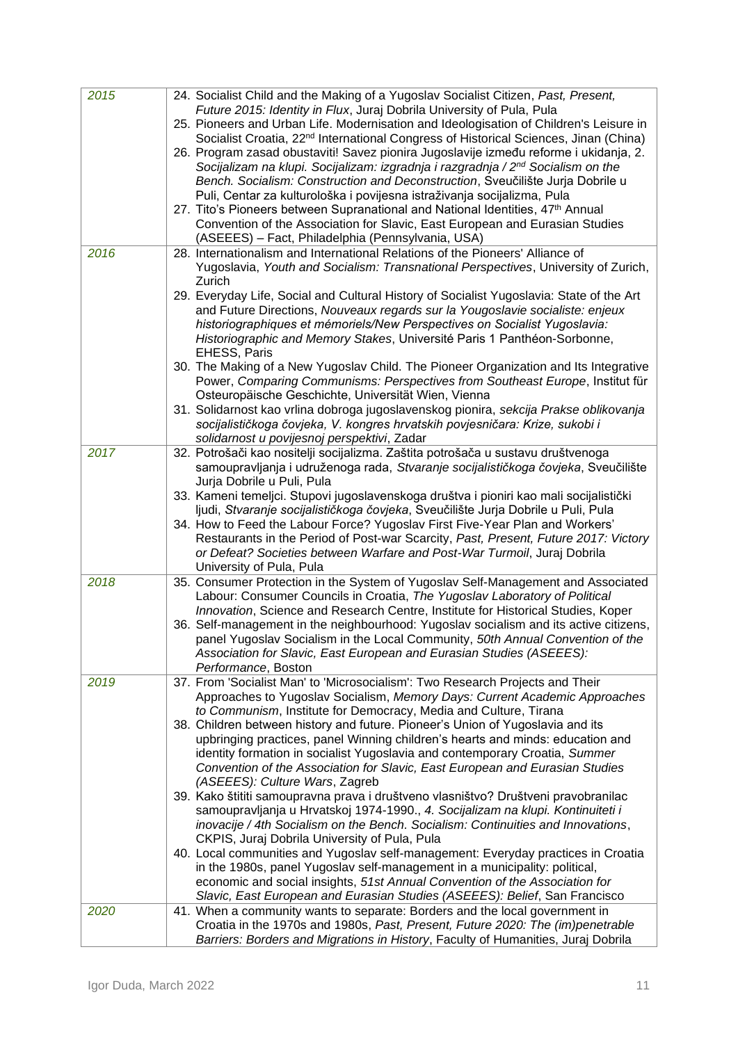| 2015 | 24. Socialist Child and the Making of a Yugoslav Socialist Citizen, Past, Present,                                                                            |
|------|---------------------------------------------------------------------------------------------------------------------------------------------------------------|
|      | Future 2015: Identity in Flux, Juraj Dobrila University of Pula, Pula                                                                                         |
|      | 25. Pioneers and Urban Life. Modernisation and Ideologisation of Children's Leisure in                                                                        |
|      | Socialist Croatia, 22 <sup>nd</sup> International Congress of Historical Sciences, Jinan (China)                                                              |
|      | 26. Program zasad obustaviti! Savez pionira Jugoslavije između reforme i ukidanja, 2.                                                                         |
|      | Socijalizam na klupi. Socijalizam: izgradnja i razgradnja / 2nd Socialism on the                                                                              |
|      | Bench. Socialism: Construction and Deconstruction, Sveučilište Jurja Dobrile u                                                                                |
|      | Puli, Centar za kulturološka i povijesna istraživanja socijalizma, Pula                                                                                       |
|      | 27. Tito's Pioneers between Supranational and National Identities, 47th Annual                                                                                |
|      | Convention of the Association for Slavic, East European and Eurasian Studies                                                                                  |
|      | (ASEEES) - Fact, Philadelphia (Pennsylvania, USA)                                                                                                             |
| 2016 | 28. Internationalism and International Relations of the Pioneers' Alliance of                                                                                 |
|      | Yugoslavia, Youth and Socialism: Transnational Perspectives, University of Zurich,                                                                            |
|      | Zurich                                                                                                                                                        |
|      | 29. Everyday Life, Social and Cultural History of Socialist Yugoslavia: State of the Art                                                                      |
|      | and Future Directions, Nouveaux regards sur la Yougoslavie socialiste: enjeux                                                                                 |
|      | historiographiques et mémoriels/New Perspectives on Socialist Yugoslavia:                                                                                     |
|      | Historiographic and Memory Stakes, Université Paris 1 Panthéon-Sorbonne,                                                                                      |
|      | <b>EHESS, Paris</b>                                                                                                                                           |
|      | 30. The Making of a New Yugoslav Child. The Pioneer Organization and Its Integrative                                                                          |
|      | Power, Comparing Communisms: Perspectives from Southeast Europe, Institut für                                                                                 |
|      | Osteuropäische Geschichte, Universität Wien, Vienna                                                                                                           |
|      | 31. Solidarnost kao vrlina dobroga jugoslavenskog pionira, sekcija Prakse oblikovanja                                                                         |
|      | socijalističkoga čovjeka, V. kongres hrvatskih povjesničara: Krize, sukobi i                                                                                  |
|      | solidarnost u povijesnoj perspektivi, Zadar                                                                                                                   |
| 2017 | 32. Potrošači kao nositelji socijalizma. Zaštita potrošača u sustavu društvenoga                                                                              |
|      | samoupravljanja i udruženoga rada, Stvaranje socijalističkoga čovjeka, Sveučilište                                                                            |
|      | Jurja Dobrile u Puli, Pula                                                                                                                                    |
|      | 33. Kameni temeljci. Stupovi jugoslavenskoga društva i pioniri kao mali socijalistički                                                                        |
|      | ljudi, Stvaranje socijalističkoga čovjeka, Sveučilište Jurja Dobrile u Puli, Pula                                                                             |
|      | 34. How to Feed the Labour Force? Yugoslav First Five-Year Plan and Workers'                                                                                  |
|      | Restaurants in the Period of Post-war Scarcity, Past, Present, Future 2017: Victory                                                                           |
|      | or Defeat? Societies between Warfare and Post-War Turmoil, Juraj Dobrila<br>University of Pula, Pula                                                          |
| 2018 | 35. Consumer Protection in the System of Yugoslav Self-Management and Associated                                                                              |
|      | Labour: Consumer Councils in Croatia, The Yugoslav Laboratory of Political                                                                                    |
|      | Innovation, Science and Research Centre, Institute for Historical Studies, Koper                                                                              |
|      | 36. Self-management in the neighbourhood: Yugoslav socialism and its active citizens,                                                                         |
|      | panel Yugoslav Socialism in the Local Community, 50th Annual Convention of the                                                                                |
|      | Association for Slavic, East European and Eurasian Studies (ASEEES):                                                                                          |
|      | Performance, Boston                                                                                                                                           |
| 2019 | 37. From 'Socialist Man' to 'Microsocialism': Two Research Projects and Their                                                                                 |
|      | Approaches to Yugoslav Socialism, Memory Days: Current Academic Approaches                                                                                    |
|      | to Communism, Institute for Democracy, Media and Culture, Tirana                                                                                              |
|      | 38. Children between history and future. Pioneer's Union of Yugoslavia and its                                                                                |
|      | upbringing practices, panel Winning children's hearts and minds: education and                                                                                |
|      | identity formation in socialist Yugoslavia and contemporary Croatia, Summer                                                                                   |
|      | Convention of the Association for Slavic, East European and Eurasian Studies                                                                                  |
|      | (ASEEES): Culture Wars, Zagreb                                                                                                                                |
|      | 39. Kako štititi samoupravna prava i društveno vlasništvo? Društveni pravobranilac                                                                            |
|      | samoupravljanja u Hrvatskoj 1974-1990., 4. Socijalizam na klupi. Kontinuiteti i                                                                               |
|      | inovacije / 4th Socialism on the Bench. Socialism: Continuities and Innovations,                                                                              |
|      | CKPIS, Juraj Dobrila University of Pula, Pula                                                                                                                 |
|      | 40. Local communities and Yugoslav self-management: Everyday practices in Croatia                                                                             |
|      | in the 1980s, panel Yugoslav self-management in a municipality: political,                                                                                    |
|      | economic and social insights, 51st Annual Convention of the Association for                                                                                   |
|      | Slavic, East European and Eurasian Studies (ASEEES): Belief, San Francisco                                                                                    |
| 2020 | 41. When a community wants to separate: Borders and the local government in<br>Croatia in the 1970s and 1980s, Past, Present, Future 2020: The (im)penetrable |
|      | Barriers: Borders and Migrations in History, Faculty of Humanities, Juraj Dobrila                                                                             |
|      |                                                                                                                                                               |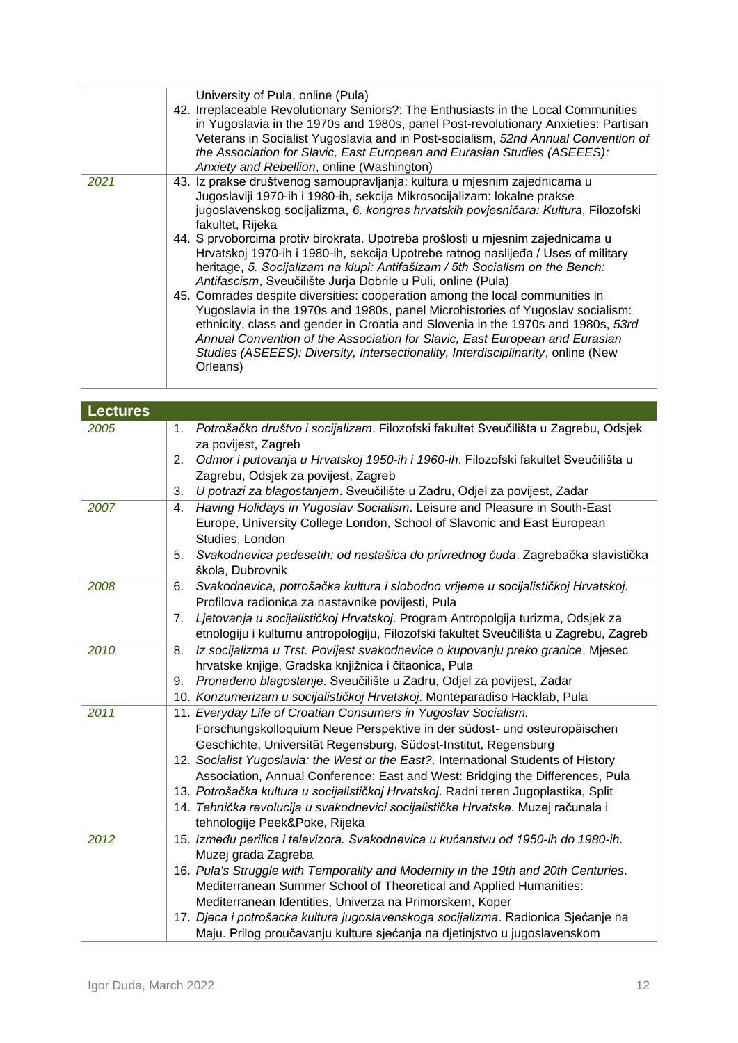|      | University of Pula, online (Pula)<br>42. Irreplaceable Revolutionary Seniors?: The Enthusiasts in the Local Communities<br>in Yugoslavia in the 1970s and 1980s, panel Post-revolutionary Anxieties: Partisan<br>Veterans in Socialist Yugoslavia and in Post-socialism, 52nd Annual Convention of<br>the Association for Slavic, East European and Eurasian Studies (ASEEES):<br>Anxiety and Rebellion, online (Washington)                                                                                                                                                                                                                                                                                                                                                                                                                                                                                                                                                                                               |
|------|----------------------------------------------------------------------------------------------------------------------------------------------------------------------------------------------------------------------------------------------------------------------------------------------------------------------------------------------------------------------------------------------------------------------------------------------------------------------------------------------------------------------------------------------------------------------------------------------------------------------------------------------------------------------------------------------------------------------------------------------------------------------------------------------------------------------------------------------------------------------------------------------------------------------------------------------------------------------------------------------------------------------------|
| 2021 | 43. Iz prakse društvenog samoupravljanja: kultura u mjesnim zajednicama u<br>Jugoslaviji 1970-ih i 1980-ih, sekcija Mikrosocijalizam: lokalne prakse<br>jugoslavenskog socijalizma, 6. kongres hrvatskih povjesničara: Kultura, Filozofski<br>fakultet, Rijeka<br>44. S prvoborcima protiv birokrata. Upotreba prošlosti u mjesnim zajednicama u<br>Hrvatskoj 1970-ih i 1980-ih, sekcija Upotrebe ratnog naslijeđa / Uses of military<br>heritage, 5. Socijalizam na klupi: Antifašizam / 5th Socialism on the Bench:<br>Antifascism, Sveučilište Jurja Dobrile u Puli, online (Pula)<br>45. Comrades despite diversities: cooperation among the local communities in<br>Yugoslavia in the 1970s and 1980s, panel Microhistories of Yugoslav socialism:<br>ethnicity, class and gender in Croatia and Slovenia in the 1970s and 1980s, 53rd<br>Annual Convention of the Association for Slavic, East European and Eurasian<br>Studies (ASEEES): Diversity, Intersectionality, Interdisciplinarity, online (New<br>Orleans) |

| <b>Lectures</b> |                                                                                           |
|-----------------|-------------------------------------------------------------------------------------------|
| 2005            | Potrošačko društvo i socijalizam. Filozofski fakultet Sveučilišta u Zagrebu, Odsjek<br>1. |
|                 | za povijest, Zagreb                                                                       |
|                 | Odmor i putovanja u Hrvatskoj 1950-ih i 1960-ih. Filozofski fakultet Sveučilišta u<br>2.  |
|                 | Zagrebu, Odsjek za povijest, Zagreb                                                       |
|                 | U potrazi za blagostanjem. Sveučilište u Zadru, Odjel za povijest, Zadar<br>3.            |
| 2007            | Having Holidays in Yugoslav Socialism. Leisure and Pleasure in South-East<br>4.           |
|                 | Europe, University College London, School of Slavonic and East European                   |
|                 | Studies, London                                                                           |
|                 | Svakodnevica pedesetih: od nestašica do privrednog čuda. Zagrebačka slavistička<br>5.     |
|                 | škola, Dubrovnik                                                                          |
| 2008            | Svakodnevica, potrošačka kultura i slobodno vrijeme u socijalističkoj Hrvatskoj.<br>6.    |
|                 | Profilova radionica za nastavnike povijesti, Pula                                         |
|                 | Ljetovanja u socijalističkoj Hrvatskoj. Program Antropolgija turizma, Odsjek za<br>7.     |
|                 | etnologiju i kulturnu antropologiju, Filozofski fakultet Sveučilišta u Zagrebu, Zagreb    |
| 2010            | Iz socijalizma u Trst. Povijest svakodnevice o kupovanju preko granice. Mjesec<br>8.      |
|                 | hrvatske knjige, Gradska knjižnica i čitaonica, Pula                                      |
|                 | Pronađeno blagostanje. Sveučilište u Zadru, Odjel za povijest, Zadar<br>9.                |
|                 | 10. Konzumerizam u socijalističkoj Hrvatskoj. Monteparadiso Hacklab, Pula                 |
| 2011            | 11. Everyday Life of Croatian Consumers in Yugoslav Socialism.                            |
|                 | Forschungskolloquium Neue Perspektive in der südost- und osteuropäischen                  |
|                 | Geschichte, Universität Regensburg, Südost-Institut, Regensburg                           |
|                 | 12. Socialist Yugoslavia: the West or the East?. International Students of History        |
|                 | Association, Annual Conference: East and West: Bridging the Differences, Pula             |
|                 | 13. Potrošačka kultura u socijalističkoj Hrvatskoj. Radni teren Jugoplastika, Split       |
|                 | 14. Tehnička revolucija u svakodnevici socijalističke Hrvatske. Muzej računala i          |
|                 | tehnologije Peek&Poke, Rijeka                                                             |
| 2012            | 15. Između perilice i televizora. Svakodnevica u kućanstvu od 1950-ih do 1980-ih.         |
|                 | Muzej grada Zagreba                                                                       |
|                 | 16. Pula's Struggle with Temporality and Modernity in the 19th and 20th Centuries.        |
|                 | Mediterranean Summer School of Theoretical and Applied Humanities:                        |
|                 | Mediterranean Identities, Univerza na Primorskem, Koper                                   |
|                 | 17. Djeca i potrošacka kultura jugoslavenskoga socijalizma. Radionica Sjećanje na         |
|                 | Maju. Prilog proučavanju kulture sjećanja na djetinjstvo u jugoslavenskom                 |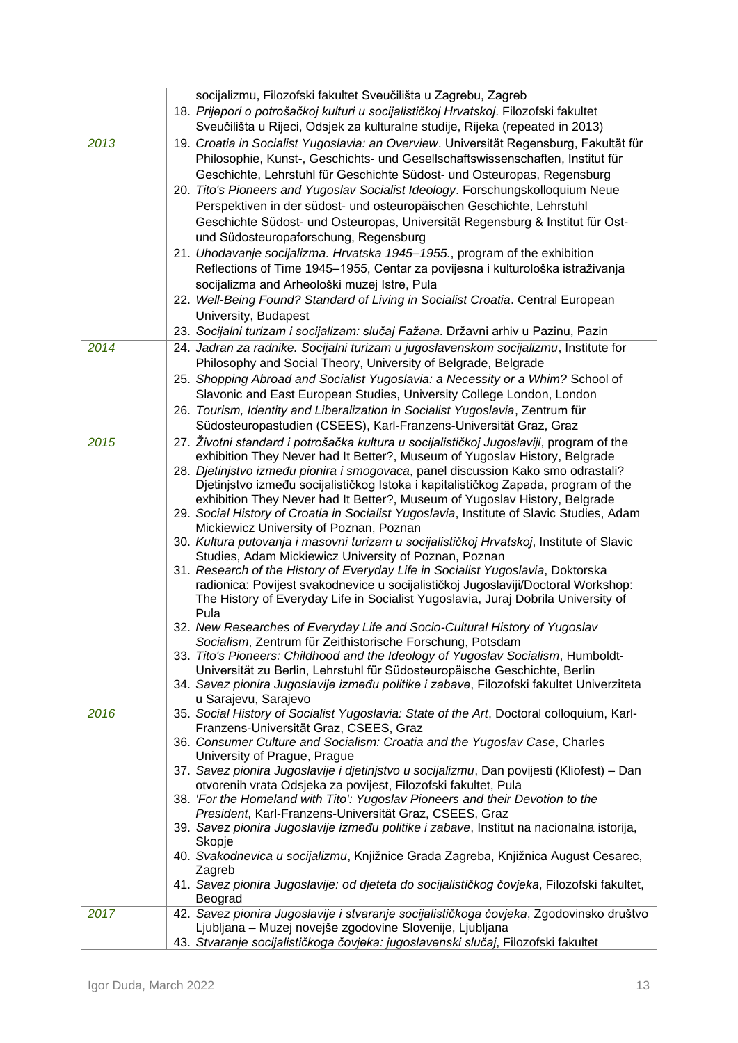| 18. Prijepori o potrošačkoj kulturi u socijalističkoj Hrvatskoj. Filozofski fakultet<br>Sveučilišta u Rijeci, Odsjek za kulturalne studije, Rijeka (repeated in 2013)<br>19. Croatia in Socialist Yugoslavia: an Overview. Universität Regensburg, Fakultät für<br>2013<br>Philosophie, Kunst-, Geschichts- und Gesellschaftswissenschaften, Institut für<br>Geschichte, Lehrstuhl für Geschichte Südost- und Osteuropas, Regensburg<br>20. Tito's Pioneers and Yugoslav Socialist Ideology. Forschungskolloquium Neue<br>Perspektiven in der südost- und osteuropäischen Geschichte, Lehrstuhl<br>Geschichte Südost- und Osteuropas, Universität Regensburg & Institut für Ost-<br>und Südosteuropaforschung, Regensburg<br>21. Uhodavanje socijalizma. Hrvatska 1945-1955., program of the exhibition<br>Reflections of Time 1945-1955, Centar za povijesna i kulturološka istraživanja<br>socijalizma and Arheološki muzej Istre, Pula<br>22. Well-Being Found? Standard of Living in Socialist Croatia. Central European<br>University, Budapest<br>23. Socijalni turizam i socijalizam: slučaj Fažana. Državni arhiv u Pazinu, Pazin<br>24. Jadran za radnike. Socijalni turizam u jugoslavenskom socijalizmu, Institute for<br>2014<br>Philosophy and Social Theory, University of Belgrade, Belgrade<br>25. Shopping Abroad and Socialist Yugoslavia: a Necessity or a Whim? School of<br>Slavonic and East European Studies, University College London, London<br>26. Tourism, Identity and Liberalization in Socialist Yugoslavia, Zentrum für<br>Südosteuropastudien (CSEES), Karl-Franzens-Universität Graz, Graz<br>2015<br>27. Životni standard i potrošačka kultura u socijalističkoj Jugoslaviji, program of the<br>exhibition They Never had It Better?, Museum of Yugoslav History, Belgrade<br>28. Djetinjstvo između pionira i smogovaca, panel discussion Kako smo odrastali?<br>Djetinjstvo između socijalističkog Istoka i kapitalističkog Zapada, program of the<br>exhibition They Never had It Better?, Museum of Yugoslav History, Belgrade<br>29. Social History of Croatia in Socialist Yugoslavia, Institute of Slavic Studies, Adam<br>Mickiewicz University of Poznan, Poznan<br>30. Kultura putovanja i masovni turizam u socijalističkoj Hrvatskoj, Institute of Slavic<br>Studies, Adam Mickiewicz University of Poznan, Poznan<br>31. Research of the History of Everyday Life in Socialist Yugoslavia, Doktorska<br>radionica: Povijest svakodnevice u socijalističkoj Jugoslaviji/Doctoral Workshop:<br>The History of Everyday Life in Socialist Yugoslavia, Juraj Dobrila University of<br>Pula<br>32. New Researches of Everyday Life and Socio-Cultural History of Yugoslav<br>Socialism, Zentrum für Zeithistorische Forschung, Potsdam<br>33. Tito's Pioneers: Childhood and the Ideology of Yugoslav Socialism, Humboldt-<br>Universität zu Berlin, Lehrstuhl für Südosteuropäische Geschichte, Berlin<br>34. Savez pionira Jugoslavije između politike i zabave, Filozofski fakultet Univerziteta<br>u Sarajevu, Sarajevo<br>35. Social History of Socialist Yugoslavia: State of the Art, Doctoral colloquium, Karl-<br>2016<br>Franzens-Universität Graz, CSEES, Graz<br>36. Consumer Culture and Socialism: Croatia and the Yugoslav Case, Charles<br>University of Prague, Prague<br>37. Savez pionira Jugoslavije i djetinjstvo u socijalizmu, Dan povijesti (Kliofest) – Dan<br>otvorenih vrata Odsjeka za povijest, Filozofski fakultet, Pula<br>38. 'For the Homeland with Tito': Yugoslav Pioneers and their Devotion to the<br>President, Karl-Franzens-Universität Graz, CSEES, Graz<br>39. Savez pionira Jugoslavije između politike i zabave, Institut na nacionalna istorija,<br>Skopje<br>40. Svakodnevica u socijalizmu, Knjižnice Grada Zagreba, Knjižnica August Cesarec,<br>Zagreb<br>41. Savez pionira Jugoslavije: od djeteta do socijalističkog čovjeka, Filozofski fakultet,<br>Beograd<br>2017<br>42. Savez pionira Jugoslavije i stvaranje socijalističkoga čovjeka, Zgodovinsko društvo<br>Ljubljana – Muzej novejše zgodovine Slovenije, Ljubljana | socijalizmu, Filozofski fakultet Sveučilišta u Zagrebu, Zagreb                    |
|----------------------------------------------------------------------------------------------------------------------------------------------------------------------------------------------------------------------------------------------------------------------------------------------------------------------------------------------------------------------------------------------------------------------------------------------------------------------------------------------------------------------------------------------------------------------------------------------------------------------------------------------------------------------------------------------------------------------------------------------------------------------------------------------------------------------------------------------------------------------------------------------------------------------------------------------------------------------------------------------------------------------------------------------------------------------------------------------------------------------------------------------------------------------------------------------------------------------------------------------------------------------------------------------------------------------------------------------------------------------------------------------------------------------------------------------------------------------------------------------------------------------------------------------------------------------------------------------------------------------------------------------------------------------------------------------------------------------------------------------------------------------------------------------------------------------------------------------------------------------------------------------------------------------------------------------------------------------------------------------------------------------------------------------------------------------------------------------------------------------------------------------------------------------------------------------------------------------------------------------------------------------------------------------------------------------------------------------------------------------------------------------------------------------------------------------------------------------------------------------------------------------------------------------------------------------------------------------------------------------------------------------------------------------------------------------------------------------------------------------------------------------------------------------------------------------------------------------------------------------------------------------------------------------------------------------------------------------------------------------------------------------------------------------------------------------------------------------------------------------------------------------------------------------------------------------------------------------------------------------------------------------------------------------------------------------------------------------------------------------------------------------------------------------------------------------------------------------------------------------------------------------------------------------------------------------------------------------------------------------------------------------------------------------------------------------------------------------------------------------------------------------------------------------------------------------------------------------------------------------------------------------------------------------------------------------------------------------------------------------------------------------------------------------------------------------------------------------------------------------------|-----------------------------------------------------------------------------------|
|                                                                                                                                                                                                                                                                                                                                                                                                                                                                                                                                                                                                                                                                                                                                                                                                                                                                                                                                                                                                                                                                                                                                                                                                                                                                                                                                                                                                                                                                                                                                                                                                                                                                                                                                                                                                                                                                                                                                                                                                                                                                                                                                                                                                                                                                                                                                                                                                                                                                                                                                                                                                                                                                                                                                                                                                                                                                                                                                                                                                                                                                                                                                                                                                                                                                                                                                                                                                                                                                                                                                                                                                                                                                                                                                                                                                                                                                                                                                                                                                                                                                                                                            |                                                                                   |
|                                                                                                                                                                                                                                                                                                                                                                                                                                                                                                                                                                                                                                                                                                                                                                                                                                                                                                                                                                                                                                                                                                                                                                                                                                                                                                                                                                                                                                                                                                                                                                                                                                                                                                                                                                                                                                                                                                                                                                                                                                                                                                                                                                                                                                                                                                                                                                                                                                                                                                                                                                                                                                                                                                                                                                                                                                                                                                                                                                                                                                                                                                                                                                                                                                                                                                                                                                                                                                                                                                                                                                                                                                                                                                                                                                                                                                                                                                                                                                                                                                                                                                                            |                                                                                   |
|                                                                                                                                                                                                                                                                                                                                                                                                                                                                                                                                                                                                                                                                                                                                                                                                                                                                                                                                                                                                                                                                                                                                                                                                                                                                                                                                                                                                                                                                                                                                                                                                                                                                                                                                                                                                                                                                                                                                                                                                                                                                                                                                                                                                                                                                                                                                                                                                                                                                                                                                                                                                                                                                                                                                                                                                                                                                                                                                                                                                                                                                                                                                                                                                                                                                                                                                                                                                                                                                                                                                                                                                                                                                                                                                                                                                                                                                                                                                                                                                                                                                                                                            |                                                                                   |
|                                                                                                                                                                                                                                                                                                                                                                                                                                                                                                                                                                                                                                                                                                                                                                                                                                                                                                                                                                                                                                                                                                                                                                                                                                                                                                                                                                                                                                                                                                                                                                                                                                                                                                                                                                                                                                                                                                                                                                                                                                                                                                                                                                                                                                                                                                                                                                                                                                                                                                                                                                                                                                                                                                                                                                                                                                                                                                                                                                                                                                                                                                                                                                                                                                                                                                                                                                                                                                                                                                                                                                                                                                                                                                                                                                                                                                                                                                                                                                                                                                                                                                                            |                                                                                   |
|                                                                                                                                                                                                                                                                                                                                                                                                                                                                                                                                                                                                                                                                                                                                                                                                                                                                                                                                                                                                                                                                                                                                                                                                                                                                                                                                                                                                                                                                                                                                                                                                                                                                                                                                                                                                                                                                                                                                                                                                                                                                                                                                                                                                                                                                                                                                                                                                                                                                                                                                                                                                                                                                                                                                                                                                                                                                                                                                                                                                                                                                                                                                                                                                                                                                                                                                                                                                                                                                                                                                                                                                                                                                                                                                                                                                                                                                                                                                                                                                                                                                                                                            |                                                                                   |
|                                                                                                                                                                                                                                                                                                                                                                                                                                                                                                                                                                                                                                                                                                                                                                                                                                                                                                                                                                                                                                                                                                                                                                                                                                                                                                                                                                                                                                                                                                                                                                                                                                                                                                                                                                                                                                                                                                                                                                                                                                                                                                                                                                                                                                                                                                                                                                                                                                                                                                                                                                                                                                                                                                                                                                                                                                                                                                                                                                                                                                                                                                                                                                                                                                                                                                                                                                                                                                                                                                                                                                                                                                                                                                                                                                                                                                                                                                                                                                                                                                                                                                                            |                                                                                   |
|                                                                                                                                                                                                                                                                                                                                                                                                                                                                                                                                                                                                                                                                                                                                                                                                                                                                                                                                                                                                                                                                                                                                                                                                                                                                                                                                                                                                                                                                                                                                                                                                                                                                                                                                                                                                                                                                                                                                                                                                                                                                                                                                                                                                                                                                                                                                                                                                                                                                                                                                                                                                                                                                                                                                                                                                                                                                                                                                                                                                                                                                                                                                                                                                                                                                                                                                                                                                                                                                                                                                                                                                                                                                                                                                                                                                                                                                                                                                                                                                                                                                                                                            |                                                                                   |
|                                                                                                                                                                                                                                                                                                                                                                                                                                                                                                                                                                                                                                                                                                                                                                                                                                                                                                                                                                                                                                                                                                                                                                                                                                                                                                                                                                                                                                                                                                                                                                                                                                                                                                                                                                                                                                                                                                                                                                                                                                                                                                                                                                                                                                                                                                                                                                                                                                                                                                                                                                                                                                                                                                                                                                                                                                                                                                                                                                                                                                                                                                                                                                                                                                                                                                                                                                                                                                                                                                                                                                                                                                                                                                                                                                                                                                                                                                                                                                                                                                                                                                                            |                                                                                   |
|                                                                                                                                                                                                                                                                                                                                                                                                                                                                                                                                                                                                                                                                                                                                                                                                                                                                                                                                                                                                                                                                                                                                                                                                                                                                                                                                                                                                                                                                                                                                                                                                                                                                                                                                                                                                                                                                                                                                                                                                                                                                                                                                                                                                                                                                                                                                                                                                                                                                                                                                                                                                                                                                                                                                                                                                                                                                                                                                                                                                                                                                                                                                                                                                                                                                                                                                                                                                                                                                                                                                                                                                                                                                                                                                                                                                                                                                                                                                                                                                                                                                                                                            |                                                                                   |
|                                                                                                                                                                                                                                                                                                                                                                                                                                                                                                                                                                                                                                                                                                                                                                                                                                                                                                                                                                                                                                                                                                                                                                                                                                                                                                                                                                                                                                                                                                                                                                                                                                                                                                                                                                                                                                                                                                                                                                                                                                                                                                                                                                                                                                                                                                                                                                                                                                                                                                                                                                                                                                                                                                                                                                                                                                                                                                                                                                                                                                                                                                                                                                                                                                                                                                                                                                                                                                                                                                                                                                                                                                                                                                                                                                                                                                                                                                                                                                                                                                                                                                                            |                                                                                   |
|                                                                                                                                                                                                                                                                                                                                                                                                                                                                                                                                                                                                                                                                                                                                                                                                                                                                                                                                                                                                                                                                                                                                                                                                                                                                                                                                                                                                                                                                                                                                                                                                                                                                                                                                                                                                                                                                                                                                                                                                                                                                                                                                                                                                                                                                                                                                                                                                                                                                                                                                                                                                                                                                                                                                                                                                                                                                                                                                                                                                                                                                                                                                                                                                                                                                                                                                                                                                                                                                                                                                                                                                                                                                                                                                                                                                                                                                                                                                                                                                                                                                                                                            |                                                                                   |
|                                                                                                                                                                                                                                                                                                                                                                                                                                                                                                                                                                                                                                                                                                                                                                                                                                                                                                                                                                                                                                                                                                                                                                                                                                                                                                                                                                                                                                                                                                                                                                                                                                                                                                                                                                                                                                                                                                                                                                                                                                                                                                                                                                                                                                                                                                                                                                                                                                                                                                                                                                                                                                                                                                                                                                                                                                                                                                                                                                                                                                                                                                                                                                                                                                                                                                                                                                                                                                                                                                                                                                                                                                                                                                                                                                                                                                                                                                                                                                                                                                                                                                                            |                                                                                   |
|                                                                                                                                                                                                                                                                                                                                                                                                                                                                                                                                                                                                                                                                                                                                                                                                                                                                                                                                                                                                                                                                                                                                                                                                                                                                                                                                                                                                                                                                                                                                                                                                                                                                                                                                                                                                                                                                                                                                                                                                                                                                                                                                                                                                                                                                                                                                                                                                                                                                                                                                                                                                                                                                                                                                                                                                                                                                                                                                                                                                                                                                                                                                                                                                                                                                                                                                                                                                                                                                                                                                                                                                                                                                                                                                                                                                                                                                                                                                                                                                                                                                                                                            |                                                                                   |
|                                                                                                                                                                                                                                                                                                                                                                                                                                                                                                                                                                                                                                                                                                                                                                                                                                                                                                                                                                                                                                                                                                                                                                                                                                                                                                                                                                                                                                                                                                                                                                                                                                                                                                                                                                                                                                                                                                                                                                                                                                                                                                                                                                                                                                                                                                                                                                                                                                                                                                                                                                                                                                                                                                                                                                                                                                                                                                                                                                                                                                                                                                                                                                                                                                                                                                                                                                                                                                                                                                                                                                                                                                                                                                                                                                                                                                                                                                                                                                                                                                                                                                                            |                                                                                   |
|                                                                                                                                                                                                                                                                                                                                                                                                                                                                                                                                                                                                                                                                                                                                                                                                                                                                                                                                                                                                                                                                                                                                                                                                                                                                                                                                                                                                                                                                                                                                                                                                                                                                                                                                                                                                                                                                                                                                                                                                                                                                                                                                                                                                                                                                                                                                                                                                                                                                                                                                                                                                                                                                                                                                                                                                                                                                                                                                                                                                                                                                                                                                                                                                                                                                                                                                                                                                                                                                                                                                                                                                                                                                                                                                                                                                                                                                                                                                                                                                                                                                                                                            |                                                                                   |
|                                                                                                                                                                                                                                                                                                                                                                                                                                                                                                                                                                                                                                                                                                                                                                                                                                                                                                                                                                                                                                                                                                                                                                                                                                                                                                                                                                                                                                                                                                                                                                                                                                                                                                                                                                                                                                                                                                                                                                                                                                                                                                                                                                                                                                                                                                                                                                                                                                                                                                                                                                                                                                                                                                                                                                                                                                                                                                                                                                                                                                                                                                                                                                                                                                                                                                                                                                                                                                                                                                                                                                                                                                                                                                                                                                                                                                                                                                                                                                                                                                                                                                                            |                                                                                   |
|                                                                                                                                                                                                                                                                                                                                                                                                                                                                                                                                                                                                                                                                                                                                                                                                                                                                                                                                                                                                                                                                                                                                                                                                                                                                                                                                                                                                                                                                                                                                                                                                                                                                                                                                                                                                                                                                                                                                                                                                                                                                                                                                                                                                                                                                                                                                                                                                                                                                                                                                                                                                                                                                                                                                                                                                                                                                                                                                                                                                                                                                                                                                                                                                                                                                                                                                                                                                                                                                                                                                                                                                                                                                                                                                                                                                                                                                                                                                                                                                                                                                                                                            |                                                                                   |
|                                                                                                                                                                                                                                                                                                                                                                                                                                                                                                                                                                                                                                                                                                                                                                                                                                                                                                                                                                                                                                                                                                                                                                                                                                                                                                                                                                                                                                                                                                                                                                                                                                                                                                                                                                                                                                                                                                                                                                                                                                                                                                                                                                                                                                                                                                                                                                                                                                                                                                                                                                                                                                                                                                                                                                                                                                                                                                                                                                                                                                                                                                                                                                                                                                                                                                                                                                                                                                                                                                                                                                                                                                                                                                                                                                                                                                                                                                                                                                                                                                                                                                                            |                                                                                   |
|                                                                                                                                                                                                                                                                                                                                                                                                                                                                                                                                                                                                                                                                                                                                                                                                                                                                                                                                                                                                                                                                                                                                                                                                                                                                                                                                                                                                                                                                                                                                                                                                                                                                                                                                                                                                                                                                                                                                                                                                                                                                                                                                                                                                                                                                                                                                                                                                                                                                                                                                                                                                                                                                                                                                                                                                                                                                                                                                                                                                                                                                                                                                                                                                                                                                                                                                                                                                                                                                                                                                                                                                                                                                                                                                                                                                                                                                                                                                                                                                                                                                                                                            |                                                                                   |
|                                                                                                                                                                                                                                                                                                                                                                                                                                                                                                                                                                                                                                                                                                                                                                                                                                                                                                                                                                                                                                                                                                                                                                                                                                                                                                                                                                                                                                                                                                                                                                                                                                                                                                                                                                                                                                                                                                                                                                                                                                                                                                                                                                                                                                                                                                                                                                                                                                                                                                                                                                                                                                                                                                                                                                                                                                                                                                                                                                                                                                                                                                                                                                                                                                                                                                                                                                                                                                                                                                                                                                                                                                                                                                                                                                                                                                                                                                                                                                                                                                                                                                                            |                                                                                   |
|                                                                                                                                                                                                                                                                                                                                                                                                                                                                                                                                                                                                                                                                                                                                                                                                                                                                                                                                                                                                                                                                                                                                                                                                                                                                                                                                                                                                                                                                                                                                                                                                                                                                                                                                                                                                                                                                                                                                                                                                                                                                                                                                                                                                                                                                                                                                                                                                                                                                                                                                                                                                                                                                                                                                                                                                                                                                                                                                                                                                                                                                                                                                                                                                                                                                                                                                                                                                                                                                                                                                                                                                                                                                                                                                                                                                                                                                                                                                                                                                                                                                                                                            |                                                                                   |
|                                                                                                                                                                                                                                                                                                                                                                                                                                                                                                                                                                                                                                                                                                                                                                                                                                                                                                                                                                                                                                                                                                                                                                                                                                                                                                                                                                                                                                                                                                                                                                                                                                                                                                                                                                                                                                                                                                                                                                                                                                                                                                                                                                                                                                                                                                                                                                                                                                                                                                                                                                                                                                                                                                                                                                                                                                                                                                                                                                                                                                                                                                                                                                                                                                                                                                                                                                                                                                                                                                                                                                                                                                                                                                                                                                                                                                                                                                                                                                                                                                                                                                                            |                                                                                   |
|                                                                                                                                                                                                                                                                                                                                                                                                                                                                                                                                                                                                                                                                                                                                                                                                                                                                                                                                                                                                                                                                                                                                                                                                                                                                                                                                                                                                                                                                                                                                                                                                                                                                                                                                                                                                                                                                                                                                                                                                                                                                                                                                                                                                                                                                                                                                                                                                                                                                                                                                                                                                                                                                                                                                                                                                                                                                                                                                                                                                                                                                                                                                                                                                                                                                                                                                                                                                                                                                                                                                                                                                                                                                                                                                                                                                                                                                                                                                                                                                                                                                                                                            |                                                                                   |
|                                                                                                                                                                                                                                                                                                                                                                                                                                                                                                                                                                                                                                                                                                                                                                                                                                                                                                                                                                                                                                                                                                                                                                                                                                                                                                                                                                                                                                                                                                                                                                                                                                                                                                                                                                                                                                                                                                                                                                                                                                                                                                                                                                                                                                                                                                                                                                                                                                                                                                                                                                                                                                                                                                                                                                                                                                                                                                                                                                                                                                                                                                                                                                                                                                                                                                                                                                                                                                                                                                                                                                                                                                                                                                                                                                                                                                                                                                                                                                                                                                                                                                                            |                                                                                   |
|                                                                                                                                                                                                                                                                                                                                                                                                                                                                                                                                                                                                                                                                                                                                                                                                                                                                                                                                                                                                                                                                                                                                                                                                                                                                                                                                                                                                                                                                                                                                                                                                                                                                                                                                                                                                                                                                                                                                                                                                                                                                                                                                                                                                                                                                                                                                                                                                                                                                                                                                                                                                                                                                                                                                                                                                                                                                                                                                                                                                                                                                                                                                                                                                                                                                                                                                                                                                                                                                                                                                                                                                                                                                                                                                                                                                                                                                                                                                                                                                                                                                                                                            |                                                                                   |
|                                                                                                                                                                                                                                                                                                                                                                                                                                                                                                                                                                                                                                                                                                                                                                                                                                                                                                                                                                                                                                                                                                                                                                                                                                                                                                                                                                                                                                                                                                                                                                                                                                                                                                                                                                                                                                                                                                                                                                                                                                                                                                                                                                                                                                                                                                                                                                                                                                                                                                                                                                                                                                                                                                                                                                                                                                                                                                                                                                                                                                                                                                                                                                                                                                                                                                                                                                                                                                                                                                                                                                                                                                                                                                                                                                                                                                                                                                                                                                                                                                                                                                                            |                                                                                   |
|                                                                                                                                                                                                                                                                                                                                                                                                                                                                                                                                                                                                                                                                                                                                                                                                                                                                                                                                                                                                                                                                                                                                                                                                                                                                                                                                                                                                                                                                                                                                                                                                                                                                                                                                                                                                                                                                                                                                                                                                                                                                                                                                                                                                                                                                                                                                                                                                                                                                                                                                                                                                                                                                                                                                                                                                                                                                                                                                                                                                                                                                                                                                                                                                                                                                                                                                                                                                                                                                                                                                                                                                                                                                                                                                                                                                                                                                                                                                                                                                                                                                                                                            |                                                                                   |
|                                                                                                                                                                                                                                                                                                                                                                                                                                                                                                                                                                                                                                                                                                                                                                                                                                                                                                                                                                                                                                                                                                                                                                                                                                                                                                                                                                                                                                                                                                                                                                                                                                                                                                                                                                                                                                                                                                                                                                                                                                                                                                                                                                                                                                                                                                                                                                                                                                                                                                                                                                                                                                                                                                                                                                                                                                                                                                                                                                                                                                                                                                                                                                                                                                                                                                                                                                                                                                                                                                                                                                                                                                                                                                                                                                                                                                                                                                                                                                                                                                                                                                                            |                                                                                   |
|                                                                                                                                                                                                                                                                                                                                                                                                                                                                                                                                                                                                                                                                                                                                                                                                                                                                                                                                                                                                                                                                                                                                                                                                                                                                                                                                                                                                                                                                                                                                                                                                                                                                                                                                                                                                                                                                                                                                                                                                                                                                                                                                                                                                                                                                                                                                                                                                                                                                                                                                                                                                                                                                                                                                                                                                                                                                                                                                                                                                                                                                                                                                                                                                                                                                                                                                                                                                                                                                                                                                                                                                                                                                                                                                                                                                                                                                                                                                                                                                                                                                                                                            |                                                                                   |
|                                                                                                                                                                                                                                                                                                                                                                                                                                                                                                                                                                                                                                                                                                                                                                                                                                                                                                                                                                                                                                                                                                                                                                                                                                                                                                                                                                                                                                                                                                                                                                                                                                                                                                                                                                                                                                                                                                                                                                                                                                                                                                                                                                                                                                                                                                                                                                                                                                                                                                                                                                                                                                                                                                                                                                                                                                                                                                                                                                                                                                                                                                                                                                                                                                                                                                                                                                                                                                                                                                                                                                                                                                                                                                                                                                                                                                                                                                                                                                                                                                                                                                                            |                                                                                   |
|                                                                                                                                                                                                                                                                                                                                                                                                                                                                                                                                                                                                                                                                                                                                                                                                                                                                                                                                                                                                                                                                                                                                                                                                                                                                                                                                                                                                                                                                                                                                                                                                                                                                                                                                                                                                                                                                                                                                                                                                                                                                                                                                                                                                                                                                                                                                                                                                                                                                                                                                                                                                                                                                                                                                                                                                                                                                                                                                                                                                                                                                                                                                                                                                                                                                                                                                                                                                                                                                                                                                                                                                                                                                                                                                                                                                                                                                                                                                                                                                                                                                                                                            |                                                                                   |
|                                                                                                                                                                                                                                                                                                                                                                                                                                                                                                                                                                                                                                                                                                                                                                                                                                                                                                                                                                                                                                                                                                                                                                                                                                                                                                                                                                                                                                                                                                                                                                                                                                                                                                                                                                                                                                                                                                                                                                                                                                                                                                                                                                                                                                                                                                                                                                                                                                                                                                                                                                                                                                                                                                                                                                                                                                                                                                                                                                                                                                                                                                                                                                                                                                                                                                                                                                                                                                                                                                                                                                                                                                                                                                                                                                                                                                                                                                                                                                                                                                                                                                                            |                                                                                   |
|                                                                                                                                                                                                                                                                                                                                                                                                                                                                                                                                                                                                                                                                                                                                                                                                                                                                                                                                                                                                                                                                                                                                                                                                                                                                                                                                                                                                                                                                                                                                                                                                                                                                                                                                                                                                                                                                                                                                                                                                                                                                                                                                                                                                                                                                                                                                                                                                                                                                                                                                                                                                                                                                                                                                                                                                                                                                                                                                                                                                                                                                                                                                                                                                                                                                                                                                                                                                                                                                                                                                                                                                                                                                                                                                                                                                                                                                                                                                                                                                                                                                                                                            |                                                                                   |
|                                                                                                                                                                                                                                                                                                                                                                                                                                                                                                                                                                                                                                                                                                                                                                                                                                                                                                                                                                                                                                                                                                                                                                                                                                                                                                                                                                                                                                                                                                                                                                                                                                                                                                                                                                                                                                                                                                                                                                                                                                                                                                                                                                                                                                                                                                                                                                                                                                                                                                                                                                                                                                                                                                                                                                                                                                                                                                                                                                                                                                                                                                                                                                                                                                                                                                                                                                                                                                                                                                                                                                                                                                                                                                                                                                                                                                                                                                                                                                                                                                                                                                                            |                                                                                   |
|                                                                                                                                                                                                                                                                                                                                                                                                                                                                                                                                                                                                                                                                                                                                                                                                                                                                                                                                                                                                                                                                                                                                                                                                                                                                                                                                                                                                                                                                                                                                                                                                                                                                                                                                                                                                                                                                                                                                                                                                                                                                                                                                                                                                                                                                                                                                                                                                                                                                                                                                                                                                                                                                                                                                                                                                                                                                                                                                                                                                                                                                                                                                                                                                                                                                                                                                                                                                                                                                                                                                                                                                                                                                                                                                                                                                                                                                                                                                                                                                                                                                                                                            |                                                                                   |
|                                                                                                                                                                                                                                                                                                                                                                                                                                                                                                                                                                                                                                                                                                                                                                                                                                                                                                                                                                                                                                                                                                                                                                                                                                                                                                                                                                                                                                                                                                                                                                                                                                                                                                                                                                                                                                                                                                                                                                                                                                                                                                                                                                                                                                                                                                                                                                                                                                                                                                                                                                                                                                                                                                                                                                                                                                                                                                                                                                                                                                                                                                                                                                                                                                                                                                                                                                                                                                                                                                                                                                                                                                                                                                                                                                                                                                                                                                                                                                                                                                                                                                                            |                                                                                   |
|                                                                                                                                                                                                                                                                                                                                                                                                                                                                                                                                                                                                                                                                                                                                                                                                                                                                                                                                                                                                                                                                                                                                                                                                                                                                                                                                                                                                                                                                                                                                                                                                                                                                                                                                                                                                                                                                                                                                                                                                                                                                                                                                                                                                                                                                                                                                                                                                                                                                                                                                                                                                                                                                                                                                                                                                                                                                                                                                                                                                                                                                                                                                                                                                                                                                                                                                                                                                                                                                                                                                                                                                                                                                                                                                                                                                                                                                                                                                                                                                                                                                                                                            |                                                                                   |
|                                                                                                                                                                                                                                                                                                                                                                                                                                                                                                                                                                                                                                                                                                                                                                                                                                                                                                                                                                                                                                                                                                                                                                                                                                                                                                                                                                                                                                                                                                                                                                                                                                                                                                                                                                                                                                                                                                                                                                                                                                                                                                                                                                                                                                                                                                                                                                                                                                                                                                                                                                                                                                                                                                                                                                                                                                                                                                                                                                                                                                                                                                                                                                                                                                                                                                                                                                                                                                                                                                                                                                                                                                                                                                                                                                                                                                                                                                                                                                                                                                                                                                                            |                                                                                   |
|                                                                                                                                                                                                                                                                                                                                                                                                                                                                                                                                                                                                                                                                                                                                                                                                                                                                                                                                                                                                                                                                                                                                                                                                                                                                                                                                                                                                                                                                                                                                                                                                                                                                                                                                                                                                                                                                                                                                                                                                                                                                                                                                                                                                                                                                                                                                                                                                                                                                                                                                                                                                                                                                                                                                                                                                                                                                                                                                                                                                                                                                                                                                                                                                                                                                                                                                                                                                                                                                                                                                                                                                                                                                                                                                                                                                                                                                                                                                                                                                                                                                                                                            |                                                                                   |
|                                                                                                                                                                                                                                                                                                                                                                                                                                                                                                                                                                                                                                                                                                                                                                                                                                                                                                                                                                                                                                                                                                                                                                                                                                                                                                                                                                                                                                                                                                                                                                                                                                                                                                                                                                                                                                                                                                                                                                                                                                                                                                                                                                                                                                                                                                                                                                                                                                                                                                                                                                                                                                                                                                                                                                                                                                                                                                                                                                                                                                                                                                                                                                                                                                                                                                                                                                                                                                                                                                                                                                                                                                                                                                                                                                                                                                                                                                                                                                                                                                                                                                                            |                                                                                   |
|                                                                                                                                                                                                                                                                                                                                                                                                                                                                                                                                                                                                                                                                                                                                                                                                                                                                                                                                                                                                                                                                                                                                                                                                                                                                                                                                                                                                                                                                                                                                                                                                                                                                                                                                                                                                                                                                                                                                                                                                                                                                                                                                                                                                                                                                                                                                                                                                                                                                                                                                                                                                                                                                                                                                                                                                                                                                                                                                                                                                                                                                                                                                                                                                                                                                                                                                                                                                                                                                                                                                                                                                                                                                                                                                                                                                                                                                                                                                                                                                                                                                                                                            |                                                                                   |
|                                                                                                                                                                                                                                                                                                                                                                                                                                                                                                                                                                                                                                                                                                                                                                                                                                                                                                                                                                                                                                                                                                                                                                                                                                                                                                                                                                                                                                                                                                                                                                                                                                                                                                                                                                                                                                                                                                                                                                                                                                                                                                                                                                                                                                                                                                                                                                                                                                                                                                                                                                                                                                                                                                                                                                                                                                                                                                                                                                                                                                                                                                                                                                                                                                                                                                                                                                                                                                                                                                                                                                                                                                                                                                                                                                                                                                                                                                                                                                                                                                                                                                                            |                                                                                   |
|                                                                                                                                                                                                                                                                                                                                                                                                                                                                                                                                                                                                                                                                                                                                                                                                                                                                                                                                                                                                                                                                                                                                                                                                                                                                                                                                                                                                                                                                                                                                                                                                                                                                                                                                                                                                                                                                                                                                                                                                                                                                                                                                                                                                                                                                                                                                                                                                                                                                                                                                                                                                                                                                                                                                                                                                                                                                                                                                                                                                                                                                                                                                                                                                                                                                                                                                                                                                                                                                                                                                                                                                                                                                                                                                                                                                                                                                                                                                                                                                                                                                                                                            |                                                                                   |
|                                                                                                                                                                                                                                                                                                                                                                                                                                                                                                                                                                                                                                                                                                                                                                                                                                                                                                                                                                                                                                                                                                                                                                                                                                                                                                                                                                                                                                                                                                                                                                                                                                                                                                                                                                                                                                                                                                                                                                                                                                                                                                                                                                                                                                                                                                                                                                                                                                                                                                                                                                                                                                                                                                                                                                                                                                                                                                                                                                                                                                                                                                                                                                                                                                                                                                                                                                                                                                                                                                                                                                                                                                                                                                                                                                                                                                                                                                                                                                                                                                                                                                                            |                                                                                   |
|                                                                                                                                                                                                                                                                                                                                                                                                                                                                                                                                                                                                                                                                                                                                                                                                                                                                                                                                                                                                                                                                                                                                                                                                                                                                                                                                                                                                                                                                                                                                                                                                                                                                                                                                                                                                                                                                                                                                                                                                                                                                                                                                                                                                                                                                                                                                                                                                                                                                                                                                                                                                                                                                                                                                                                                                                                                                                                                                                                                                                                                                                                                                                                                                                                                                                                                                                                                                                                                                                                                                                                                                                                                                                                                                                                                                                                                                                                                                                                                                                                                                                                                            |                                                                                   |
|                                                                                                                                                                                                                                                                                                                                                                                                                                                                                                                                                                                                                                                                                                                                                                                                                                                                                                                                                                                                                                                                                                                                                                                                                                                                                                                                                                                                                                                                                                                                                                                                                                                                                                                                                                                                                                                                                                                                                                                                                                                                                                                                                                                                                                                                                                                                                                                                                                                                                                                                                                                                                                                                                                                                                                                                                                                                                                                                                                                                                                                                                                                                                                                                                                                                                                                                                                                                                                                                                                                                                                                                                                                                                                                                                                                                                                                                                                                                                                                                                                                                                                                            |                                                                                   |
|                                                                                                                                                                                                                                                                                                                                                                                                                                                                                                                                                                                                                                                                                                                                                                                                                                                                                                                                                                                                                                                                                                                                                                                                                                                                                                                                                                                                                                                                                                                                                                                                                                                                                                                                                                                                                                                                                                                                                                                                                                                                                                                                                                                                                                                                                                                                                                                                                                                                                                                                                                                                                                                                                                                                                                                                                                                                                                                                                                                                                                                                                                                                                                                                                                                                                                                                                                                                                                                                                                                                                                                                                                                                                                                                                                                                                                                                                                                                                                                                                                                                                                                            |                                                                                   |
|                                                                                                                                                                                                                                                                                                                                                                                                                                                                                                                                                                                                                                                                                                                                                                                                                                                                                                                                                                                                                                                                                                                                                                                                                                                                                                                                                                                                                                                                                                                                                                                                                                                                                                                                                                                                                                                                                                                                                                                                                                                                                                                                                                                                                                                                                                                                                                                                                                                                                                                                                                                                                                                                                                                                                                                                                                                                                                                                                                                                                                                                                                                                                                                                                                                                                                                                                                                                                                                                                                                                                                                                                                                                                                                                                                                                                                                                                                                                                                                                                                                                                                                            |                                                                                   |
|                                                                                                                                                                                                                                                                                                                                                                                                                                                                                                                                                                                                                                                                                                                                                                                                                                                                                                                                                                                                                                                                                                                                                                                                                                                                                                                                                                                                                                                                                                                                                                                                                                                                                                                                                                                                                                                                                                                                                                                                                                                                                                                                                                                                                                                                                                                                                                                                                                                                                                                                                                                                                                                                                                                                                                                                                                                                                                                                                                                                                                                                                                                                                                                                                                                                                                                                                                                                                                                                                                                                                                                                                                                                                                                                                                                                                                                                                                                                                                                                                                                                                                                            |                                                                                   |
|                                                                                                                                                                                                                                                                                                                                                                                                                                                                                                                                                                                                                                                                                                                                                                                                                                                                                                                                                                                                                                                                                                                                                                                                                                                                                                                                                                                                                                                                                                                                                                                                                                                                                                                                                                                                                                                                                                                                                                                                                                                                                                                                                                                                                                                                                                                                                                                                                                                                                                                                                                                                                                                                                                                                                                                                                                                                                                                                                                                                                                                                                                                                                                                                                                                                                                                                                                                                                                                                                                                                                                                                                                                                                                                                                                                                                                                                                                                                                                                                                                                                                                                            |                                                                                   |
|                                                                                                                                                                                                                                                                                                                                                                                                                                                                                                                                                                                                                                                                                                                                                                                                                                                                                                                                                                                                                                                                                                                                                                                                                                                                                                                                                                                                                                                                                                                                                                                                                                                                                                                                                                                                                                                                                                                                                                                                                                                                                                                                                                                                                                                                                                                                                                                                                                                                                                                                                                                                                                                                                                                                                                                                                                                                                                                                                                                                                                                                                                                                                                                                                                                                                                                                                                                                                                                                                                                                                                                                                                                                                                                                                                                                                                                                                                                                                                                                                                                                                                                            |                                                                                   |
|                                                                                                                                                                                                                                                                                                                                                                                                                                                                                                                                                                                                                                                                                                                                                                                                                                                                                                                                                                                                                                                                                                                                                                                                                                                                                                                                                                                                                                                                                                                                                                                                                                                                                                                                                                                                                                                                                                                                                                                                                                                                                                                                                                                                                                                                                                                                                                                                                                                                                                                                                                                                                                                                                                                                                                                                                                                                                                                                                                                                                                                                                                                                                                                                                                                                                                                                                                                                                                                                                                                                                                                                                                                                                                                                                                                                                                                                                                                                                                                                                                                                                                                            |                                                                                   |
|                                                                                                                                                                                                                                                                                                                                                                                                                                                                                                                                                                                                                                                                                                                                                                                                                                                                                                                                                                                                                                                                                                                                                                                                                                                                                                                                                                                                                                                                                                                                                                                                                                                                                                                                                                                                                                                                                                                                                                                                                                                                                                                                                                                                                                                                                                                                                                                                                                                                                                                                                                                                                                                                                                                                                                                                                                                                                                                                                                                                                                                                                                                                                                                                                                                                                                                                                                                                                                                                                                                                                                                                                                                                                                                                                                                                                                                                                                                                                                                                                                                                                                                            |                                                                                   |
|                                                                                                                                                                                                                                                                                                                                                                                                                                                                                                                                                                                                                                                                                                                                                                                                                                                                                                                                                                                                                                                                                                                                                                                                                                                                                                                                                                                                                                                                                                                                                                                                                                                                                                                                                                                                                                                                                                                                                                                                                                                                                                                                                                                                                                                                                                                                                                                                                                                                                                                                                                                                                                                                                                                                                                                                                                                                                                                                                                                                                                                                                                                                                                                                                                                                                                                                                                                                                                                                                                                                                                                                                                                                                                                                                                                                                                                                                                                                                                                                                                                                                                                            | 43. Stvaranje socijalističkoga čovjeka: jugoslavenski slučaj, Filozofski fakultet |